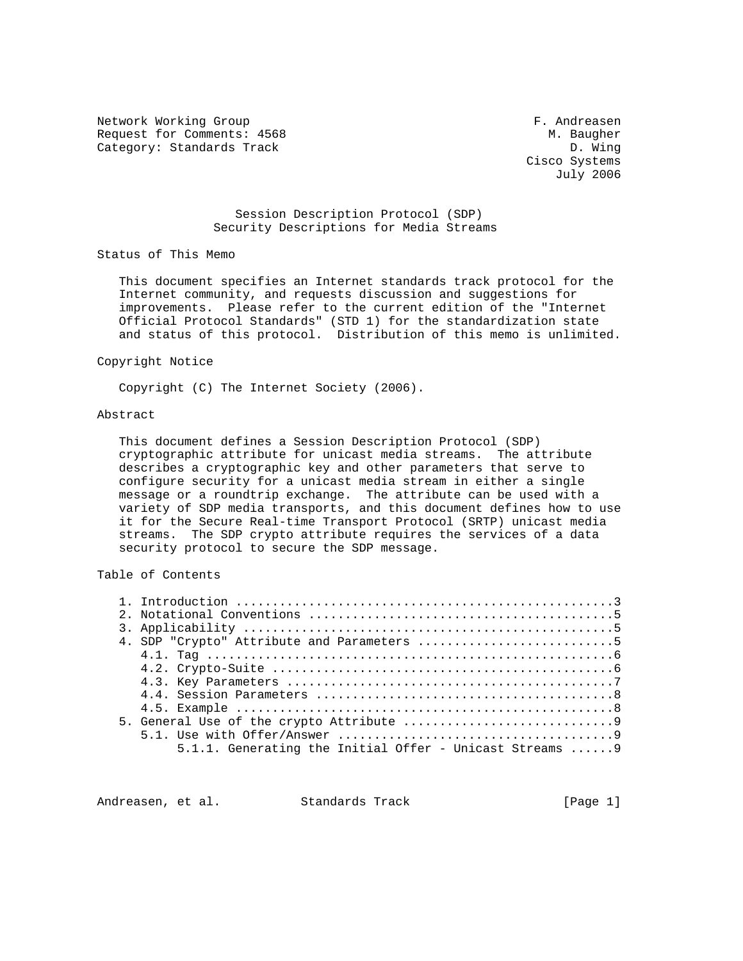Network Working Group **F. Andreasen** Request for Comments: 4568 M. Baugher (M. Baugher Category: Standards Track Category: Standards Track

 Cisco Systems July 2006

## Session Description Protocol (SDP) Security Descriptions for Media Streams

Status of This Memo

 This document specifies an Internet standards track protocol for the Internet community, and requests discussion and suggestions for improvements. Please refer to the current edition of the "Internet Official Protocol Standards" (STD 1) for the standardization state and status of this protocol. Distribution of this memo is unlimited.

#### Copyright Notice

Copyright (C) The Internet Society (2006).

# Abstract

 This document defines a Session Description Protocol (SDP) cryptographic attribute for unicast media streams. The attribute describes a cryptographic key and other parameters that serve to configure security for a unicast media stream in either a single message or a roundtrip exchange. The attribute can be used with a variety of SDP media transports, and this document defines how to use it for the Secure Real-time Transport Protocol (SRTP) unicast media streams. The SDP crypto attribute requires the services of a data security protocol to secure the SDP message.

# Table of Contents

|  | 4. SDP "Crypto" Attribute and Parameters 5               |
|--|----------------------------------------------------------|
|  |                                                          |
|  |                                                          |
|  |                                                          |
|  |                                                          |
|  |                                                          |
|  |                                                          |
|  |                                                          |
|  | 5.1.1. Generating the Initial Offer - Unicast Streams  9 |
|  |                                                          |

Andreasen, et al. Standards Track [Page 1]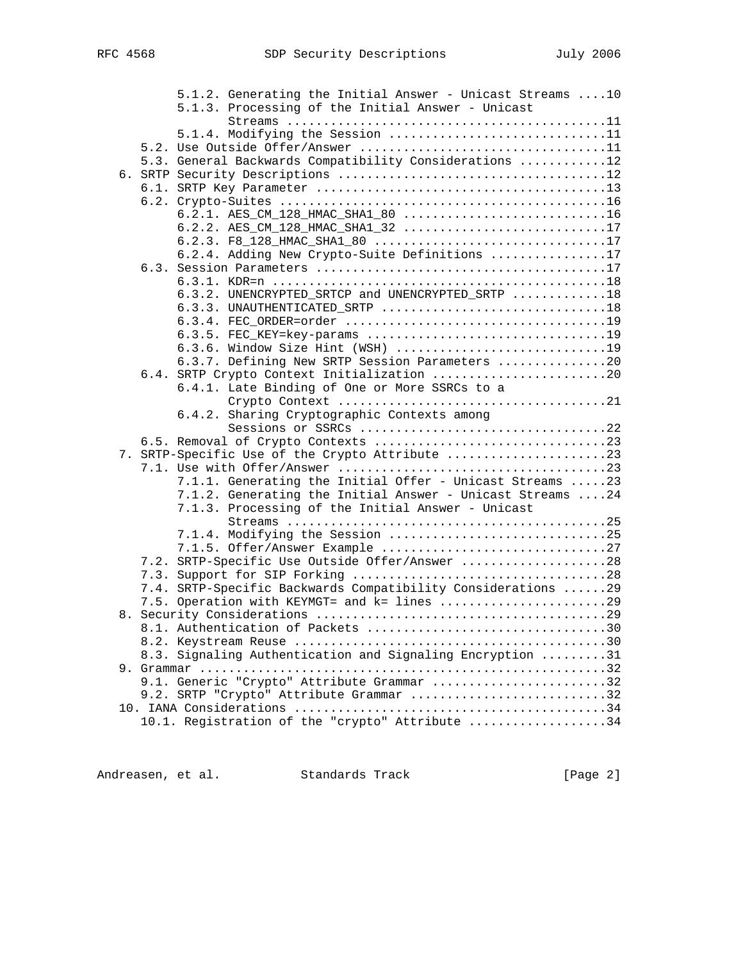|  | 5.1.2. Generating the Initial Answer - Unicast Streams 10                                                   |
|--|-------------------------------------------------------------------------------------------------------------|
|  | 5.1.3. Processing of the Initial Answer - Unicast                                                           |
|  |                                                                                                             |
|  | 5.1.4. Modifying the Session 11                                                                             |
|  |                                                                                                             |
|  | 5.3. General Backwards Compatibility Considerations 12                                                      |
|  |                                                                                                             |
|  |                                                                                                             |
|  |                                                                                                             |
|  | 6.2.1. AES_CM_128_HMAC_SHA1_80 16                                                                           |
|  | 6.2.2. $\texttt{AES\_CM\_128\_HMAC\_SHA1\_32}$ 17                                                           |
|  | 6.2.3. F8_128_HMAC_SHA1_80 17                                                                               |
|  | 6.2.4. Adding New Crypto-Suite Definitions 17                                                               |
|  |                                                                                                             |
|  |                                                                                                             |
|  | 6.3.2. UNENCRYPTED_SRTCP and UNENCRYPTED_SRTP 18                                                            |
|  |                                                                                                             |
|  |                                                                                                             |
|  |                                                                                                             |
|  | 6.3.6. Window Size Hint (WSH) 19                                                                            |
|  | 6.3.7. Defining New SRTP Session Parameters 20                                                              |
|  | 6.4. SRTP Crypto Context Initialization 20                                                                  |
|  | 6.4.1. Late Binding of One or More SSRCs to a                                                               |
|  |                                                                                                             |
|  | 6.4.2. Sharing Cryptographic Contexts among                                                                 |
|  |                                                                                                             |
|  |                                                                                                             |
|  |                                                                                                             |
|  |                                                                                                             |
|  | 7.1.1. Generating the Initial Offer - Unicast Streams 23                                                    |
|  | 7.1.2. Generating the Initial Answer - Unicast Streams 24                                                   |
|  | 7.1.3. Processing of the Initial Answer - Unicast                                                           |
|  |                                                                                                             |
|  | 7.1.4. Modifying the Session 25                                                                             |
|  | 7.1.5. Offer/Answer Example 27                                                                              |
|  | 7.2. SRTP-Specific Use Outside Offer/Answer 28                                                              |
|  |                                                                                                             |
|  | 7.4. SRTP-Specific Backwards Compatibility Considerations 29<br>7.5. Operation with KEYMGT= and k= lines 29 |
|  |                                                                                                             |
|  |                                                                                                             |
|  |                                                                                                             |
|  | 8.3. Signaling Authentication and Signaling Encryption 31                                                   |
|  |                                                                                                             |
|  | 9.1. Generic "Crypto" Attribute Grammar 32                                                                  |
|  | 9.2. SRTP "Crypto" Attribute Grammar 32                                                                     |
|  |                                                                                                             |
|  | 10.1. Registration of the "crypto" Attribute 34                                                             |
|  |                                                                                                             |

Andreasen, et al. Standards Track [Page 2]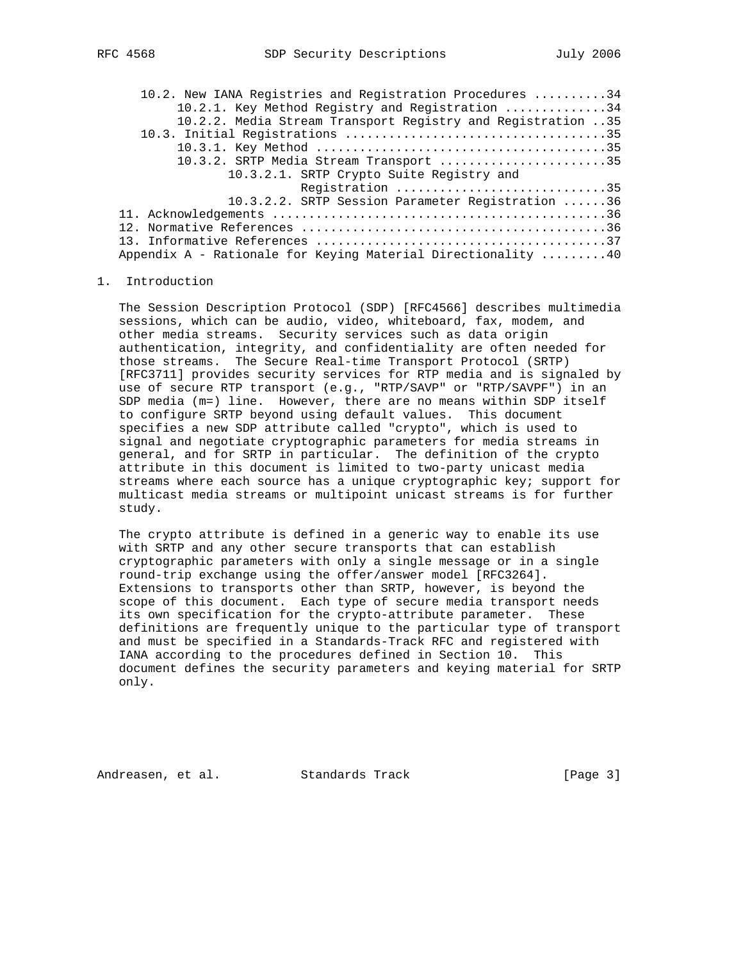| °C 4568 |  |
|---------|--|
|         |  |

| 10.2. New IANA Registries and Registration Procedures 34                      |
|-------------------------------------------------------------------------------|
| 10.2.1. Key Method Registry and Registration 34                               |
| 10.2.2. Media Stream Transport Registry and Registration 35                   |
|                                                                               |
|                                                                               |
| 10.3.2. SRTP Media Stream Transport 35                                        |
| 10.3.2.1. SRTP Crypto Suite Registry and                                      |
| Reqistration 35                                                               |
| 10.3.2.2. SRTP Session Parameter Registration 36                              |
|                                                                               |
|                                                                               |
|                                                                               |
| Appendix A - Rationale for Keying Material Directionality $\dots\dots\dots40$ |
|                                                                               |

## 1. Introduction

 The Session Description Protocol (SDP) [RFC4566] describes multimedia sessions, which can be audio, video, whiteboard, fax, modem, and other media streams. Security services such as data origin authentication, integrity, and confidentiality are often needed for those streams. The Secure Real-time Transport Protocol (SRTP) [RFC3711] provides security services for RTP media and is signaled by use of secure RTP transport (e.g., "RTP/SAVP" or "RTP/SAVPF") in an SDP media (m=) line. However, there are no means within SDP itself to configure SRTP beyond using default values. This document specifies a new SDP attribute called "crypto", which is used to signal and negotiate cryptographic parameters for media streams in general, and for SRTP in particular. The definition of the crypto attribute in this document is limited to two-party unicast media streams where each source has a unique cryptographic key; support for multicast media streams or multipoint unicast streams is for further study.

 The crypto attribute is defined in a generic way to enable its use with SRTP and any other secure transports that can establish cryptographic parameters with only a single message or in a single round-trip exchange using the offer/answer model [RFC3264]. Extensions to transports other than SRTP, however, is beyond the scope of this document. Each type of secure media transport needs its own specification for the crypto-attribute parameter. These definitions are frequently unique to the particular type of transport and must be specified in a Standards-Track RFC and registered with IANA according to the procedures defined in Section 10. This document defines the security parameters and keying material for SRTP only.

Andreasen, et al. Standards Track [Page 3]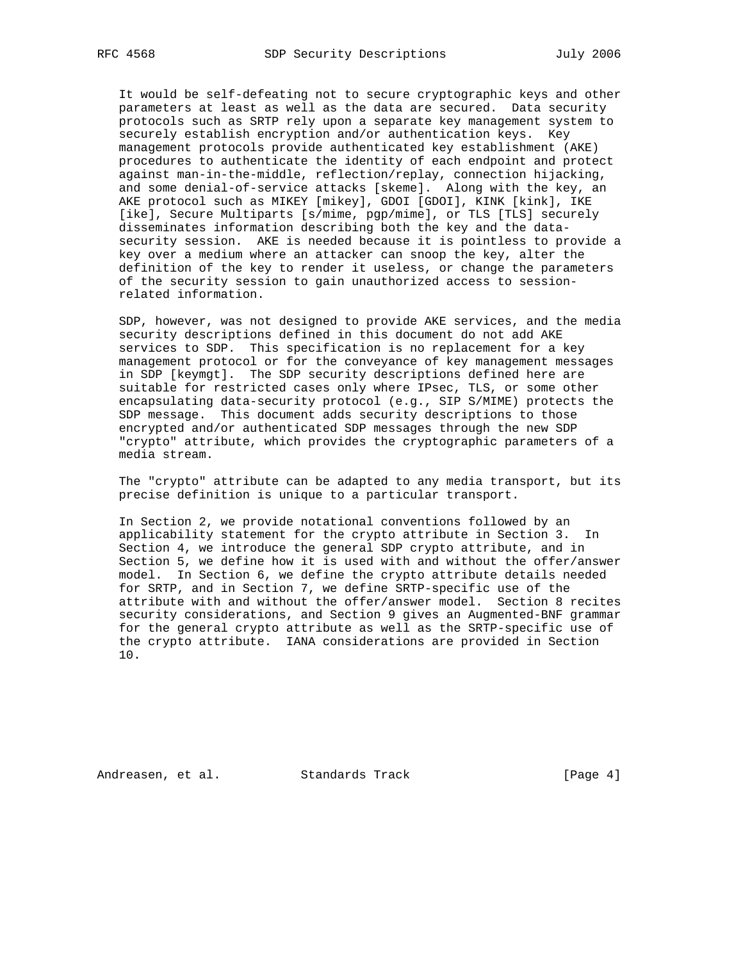It would be self-defeating not to secure cryptographic keys and other parameters at least as well as the data are secured. Data security protocols such as SRTP rely upon a separate key management system to securely establish encryption and/or authentication keys. Key management protocols provide authenticated key establishment (AKE) procedures to authenticate the identity of each endpoint and protect against man-in-the-middle, reflection/replay, connection hijacking, and some denial-of-service attacks [skeme]. Along with the key, an AKE protocol such as MIKEY [mikey], GDOI [GDOI], KINK [kink], IKE [ike], Secure Multiparts [s/mime, pgp/mime], or TLS [TLS] securely disseminates information describing both the key and the data security session. AKE is needed because it is pointless to provide a key over a medium where an attacker can snoop the key, alter the definition of the key to render it useless, or change the parameters of the security session to gain unauthorized access to session related information.

 SDP, however, was not designed to provide AKE services, and the media security descriptions defined in this document do not add AKE services to SDP. This specification is no replacement for a key management protocol or for the conveyance of key management messages in SDP [keymgt]. The SDP security descriptions defined here are suitable for restricted cases only where IPsec, TLS, or some other encapsulating data-security protocol (e.g., SIP S/MIME) protects the SDP message. This document adds security descriptions to those encrypted and/or authenticated SDP messages through the new SDP "crypto" attribute, which provides the cryptographic parameters of a media stream.

 The "crypto" attribute can be adapted to any media transport, but its precise definition is unique to a particular transport.

 In Section 2, we provide notational conventions followed by an applicability statement for the crypto attribute in Section 3. In Section 4, we introduce the general SDP crypto attribute, and in Section 5, we define how it is used with and without the offer/answer model. In Section 6, we define the crypto attribute details needed for SRTP, and in Section 7, we define SRTP-specific use of the attribute with and without the offer/answer model. Section 8 recites security considerations, and Section 9 gives an Augmented-BNF grammar for the general crypto attribute as well as the SRTP-specific use of the crypto attribute. IANA considerations are provided in Section 10.

Andreasen, et al. Standards Track [Page 4]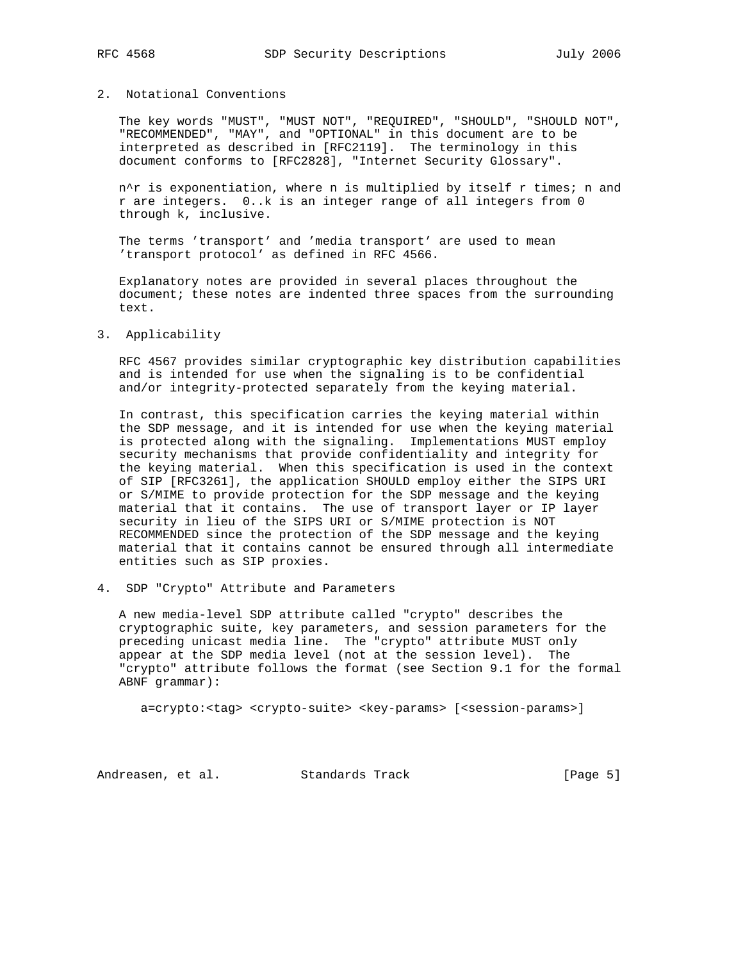### 2. Notational Conventions

 The key words "MUST", "MUST NOT", "REQUIRED", "SHOULD", "SHOULD NOT", "RECOMMENDED", "MAY", and "OPTIONAL" in this document are to be interpreted as described in [RFC2119]. The terminology in this document conforms to [RFC2828], "Internet Security Glossary".

n^r is exponentiation, where n is multiplied by itself r times; n and r are integers. 0..k is an integer range of all integers from 0 through k, inclusive.

 The terms 'transport' and 'media transport' are used to mean 'transport protocol' as defined in RFC 4566.

 Explanatory notes are provided in several places throughout the document; these notes are indented three spaces from the surrounding text.

#### 3. Applicability

 RFC 4567 provides similar cryptographic key distribution capabilities and is intended for use when the signaling is to be confidential and/or integrity-protected separately from the keying material.

 In contrast, this specification carries the keying material within the SDP message, and it is intended for use when the keying material is protected along with the signaling. Implementations MUST employ security mechanisms that provide confidentiality and integrity for the keying material. When this specification is used in the context of SIP [RFC3261], the application SHOULD employ either the SIPS URI or S/MIME to provide protection for the SDP message and the keying material that it contains. The use of transport layer or IP layer security in lieu of the SIPS URI or S/MIME protection is NOT RECOMMENDED since the protection of the SDP message and the keying material that it contains cannot be ensured through all intermediate entities such as SIP proxies.

4. SDP "Crypto" Attribute and Parameters

 A new media-level SDP attribute called "crypto" describes the cryptographic suite, key parameters, and session parameters for the preceding unicast media line. The "crypto" attribute MUST only appear at the SDP media level (not at the session level). The "crypto" attribute follows the format (see Section 9.1 for the formal ABNF grammar):

a=crypto:<tag> <crypto-suite> <key-params> [<session-params>]

Andreasen, et al. Standards Track [Page 5]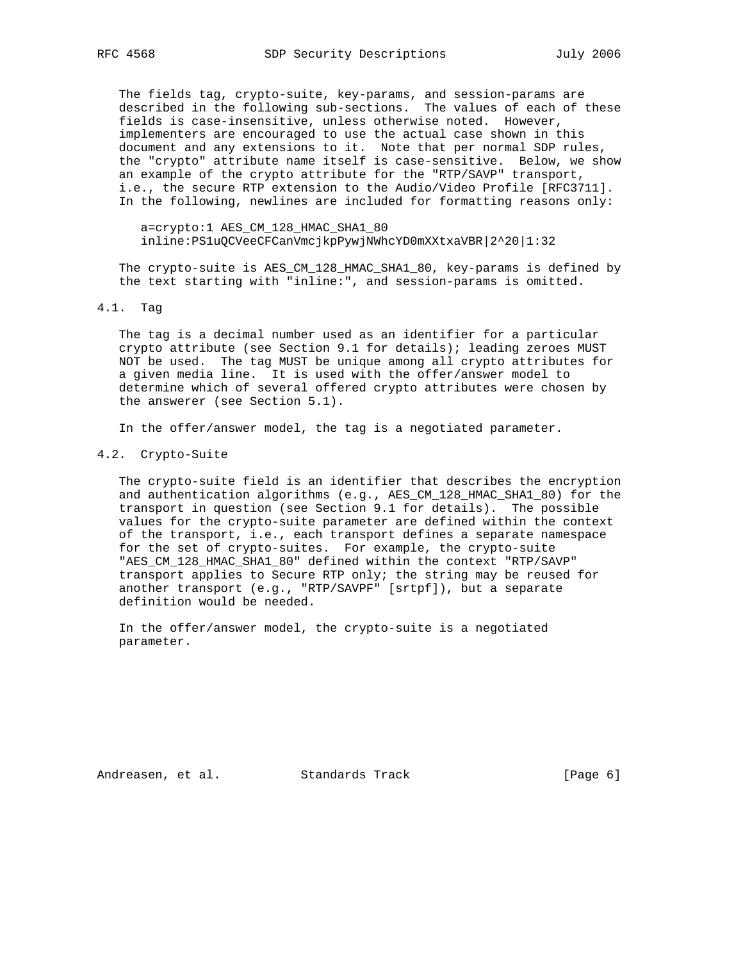The fields tag, crypto-suite, key-params, and session-params are described in the following sub-sections. The values of each of these fields is case-insensitive, unless otherwise noted. However, implementers are encouraged to use the actual case shown in this document and any extensions to it. Note that per normal SDP rules, the "crypto" attribute name itself is case-sensitive. Below, we show an example of the crypto attribute for the "RTP/SAVP" transport, i.e., the secure RTP extension to the Audio/Video Profile [RFC3711]. In the following, newlines are included for formatting reasons only:

 a=crypto:1 AES\_CM\_128\_HMAC\_SHA1\_80 inline:PS1uQCVeeCFCanVmcjkpPywjNWhcYD0mXXtxaVBR|2^20|1:32

 The crypto-suite is AES\_CM\_128\_HMAC\_SHA1\_80, key-params is defined by the text starting with "inline:", and session-params is omitted.

#### 4.1. Tag

 The tag is a decimal number used as an identifier for a particular crypto attribute (see Section 9.1 for details); leading zeroes MUST NOT be used. The tag MUST be unique among all crypto attributes for a given media line. It is used with the offer/answer model to determine which of several offered crypto attributes were chosen by the answerer (see Section 5.1).

In the offer/answer model, the tag is a negotiated parameter.

#### 4.2. Crypto-Suite

 The crypto-suite field is an identifier that describes the encryption and authentication algorithms (e.g., AES\_CM\_128\_HMAC\_SHA1\_80) for the transport in question (see Section 9.1 for details). The possible values for the crypto-suite parameter are defined within the context of the transport, i.e., each transport defines a separate namespace for the set of crypto-suites. For example, the crypto-suite "AES\_CM\_128\_HMAC\_SHA1\_80" defined within the context "RTP/SAVP" transport applies to Secure RTP only; the string may be reused for another transport (e.g., "RTP/SAVPF" [srtpf]), but a separate definition would be needed.

 In the offer/answer model, the crypto-suite is a negotiated parameter.

Andreasen, et al. Standards Track [Page 6]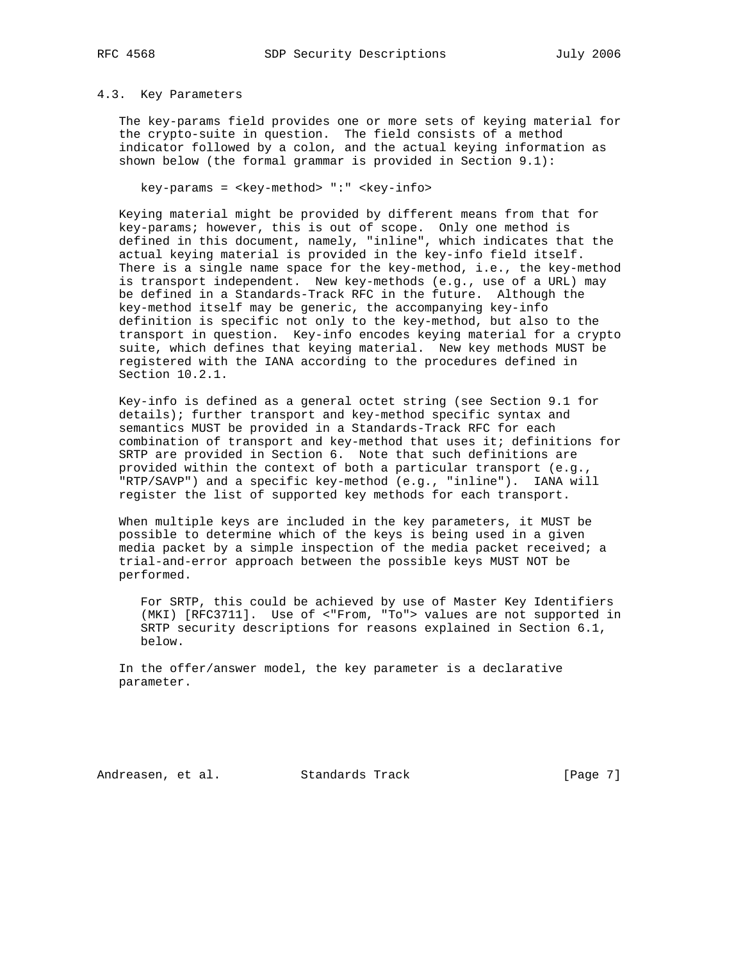#### 4.3. Key Parameters

 The key-params field provides one or more sets of keying material for the crypto-suite in question. The field consists of a method indicator followed by a colon, and the actual keying information as shown below (the formal grammar is provided in Section 9.1):

key-params = <key-method> ":" <key-info>

 Keying material might be provided by different means from that for key-params; however, this is out of scope. Only one method is defined in this document, namely, "inline", which indicates that the actual keying material is provided in the key-info field itself. There is a single name space for the key-method, i.e., the key-method is transport independent. New key-methods (e.g., use of a URL) may be defined in a Standards-Track RFC in the future. Although the key-method itself may be generic, the accompanying key-info definition is specific not only to the key-method, but also to the transport in question. Key-info encodes keying material for a crypto suite, which defines that keying material. New key methods MUST be registered with the IANA according to the procedures defined in Section 10.2.1.

 Key-info is defined as a general octet string (see Section 9.1 for details); further transport and key-method specific syntax and semantics MUST be provided in a Standards-Track RFC for each combination of transport and key-method that uses it; definitions for SRTP are provided in Section 6. Note that such definitions are provided within the context of both a particular transport (e.g., "RTP/SAVP") and a specific key-method (e.g., "inline"). IANA will register the list of supported key methods for each transport.

 When multiple keys are included in the key parameters, it MUST be possible to determine which of the keys is being used in a given media packet by a simple inspection of the media packet received; a trial-and-error approach between the possible keys MUST NOT be performed.

 For SRTP, this could be achieved by use of Master Key Identifiers (MKI) [RFC3711]. Use of <"From, "To"> values are not supported in SRTP security descriptions for reasons explained in Section 6.1, below.

 In the offer/answer model, the key parameter is a declarative parameter.

Andreasen, et al. Standards Track [Page 7]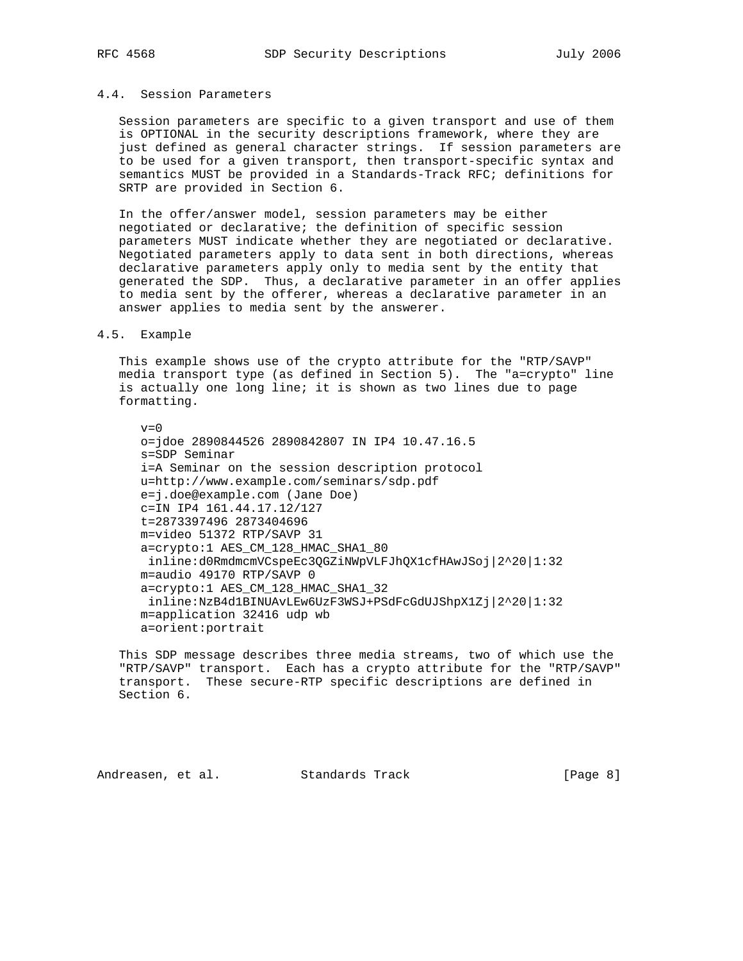## 4.4. Session Parameters

 Session parameters are specific to a given transport and use of them is OPTIONAL in the security descriptions framework, where they are just defined as general character strings. If session parameters are to be used for a given transport, then transport-specific syntax and semantics MUST be provided in a Standards-Track RFC; definitions for SRTP are provided in Section 6.

 In the offer/answer model, session parameters may be either negotiated or declarative; the definition of specific session parameters MUST indicate whether they are negotiated or declarative. Negotiated parameters apply to data sent in both directions, whereas declarative parameters apply only to media sent by the entity that generated the SDP. Thus, a declarative parameter in an offer applies to media sent by the offerer, whereas a declarative parameter in an answer applies to media sent by the answerer.

#### 4.5. Example

 This example shows use of the crypto attribute for the "RTP/SAVP" media transport type (as defined in Section 5). The "a=crypto" line is actually one long line; it is shown as two lines due to page formatting.

 $v=0$  o=jdoe 2890844526 2890842807 IN IP4 10.47.16.5 s=SDP Seminar i=A Seminar on the session description protocol u=http://www.example.com/seminars/sdp.pdf e=j.doe@example.com (Jane Doe) c=IN IP4 161.44.17.12/127 t=2873397496 2873404696 m=video 51372 RTP/SAVP 31 a=crypto:1 AES\_CM\_128\_HMAC\_SHA1\_80 inline:d0RmdmcmVCspeEc3QGZiNWpVLFJhQX1cfHAwJSoj|2^20|1:32 m=audio 49170 RTP/SAVP 0 a=crypto:1 AES\_CM\_128\_HMAC\_SHA1\_32 inline:NzB4d1BINUAvLEw6UzF3WSJ+PSdFcGdUJShpX1Zj|2^20|1:32 m=application 32416 udp wb a=orient:portrait

 This SDP message describes three media streams, two of which use the "RTP/SAVP" transport. Each has a crypto attribute for the "RTP/SAVP" transport. These secure-RTP specific descriptions are defined in Section 6.

Andreasen, et al. Standards Track [Page 8]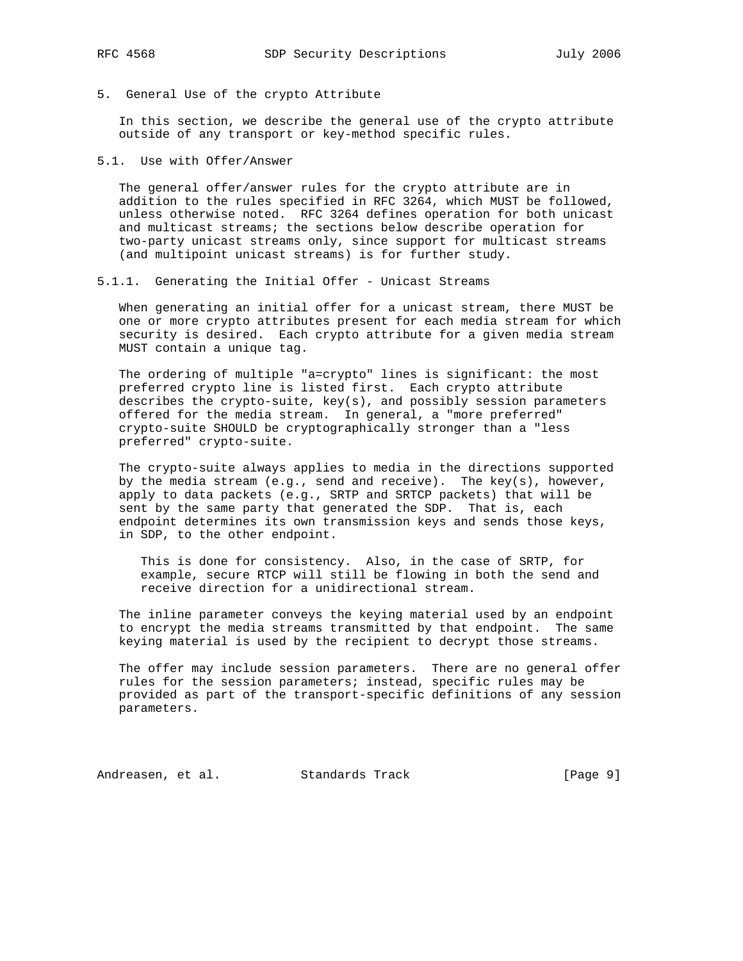5. General Use of the crypto Attribute

 In this section, we describe the general use of the crypto attribute outside of any transport or key-method specific rules.

5.1. Use with Offer/Answer

 The general offer/answer rules for the crypto attribute are in addition to the rules specified in RFC 3264, which MUST be followed, unless otherwise noted. RFC 3264 defines operation for both unicast and multicast streams; the sections below describe operation for two-party unicast streams only, since support for multicast streams (and multipoint unicast streams) is for further study.

5.1.1. Generating the Initial Offer - Unicast Streams

 When generating an initial offer for a unicast stream, there MUST be one or more crypto attributes present for each media stream for which security is desired. Each crypto attribute for a given media stream MUST contain a unique tag.

 The ordering of multiple "a=crypto" lines is significant: the most preferred crypto line is listed first. Each crypto attribute describes the crypto-suite,  $key(s)$ , and possibly session parameters offered for the media stream. In general, a "more preferred" crypto-suite SHOULD be cryptographically stronger than a "less preferred" crypto-suite.

 The crypto-suite always applies to media in the directions supported by the media stream  $(e.g.,$  send and receive). The key(s), however, apply to data packets (e.g., SRTP and SRTCP packets) that will be sent by the same party that generated the SDP. That is, each endpoint determines its own transmission keys and sends those keys, in SDP, to the other endpoint.

 This is done for consistency. Also, in the case of SRTP, for example, secure RTCP will still be flowing in both the send and receive direction for a unidirectional stream.

 The inline parameter conveys the keying material used by an endpoint to encrypt the media streams transmitted by that endpoint. The same keying material is used by the recipient to decrypt those streams.

 The offer may include session parameters. There are no general offer rules for the session parameters; instead, specific rules may be provided as part of the transport-specific definitions of any session parameters.

Andreasen, et al. Standards Track [Page 9]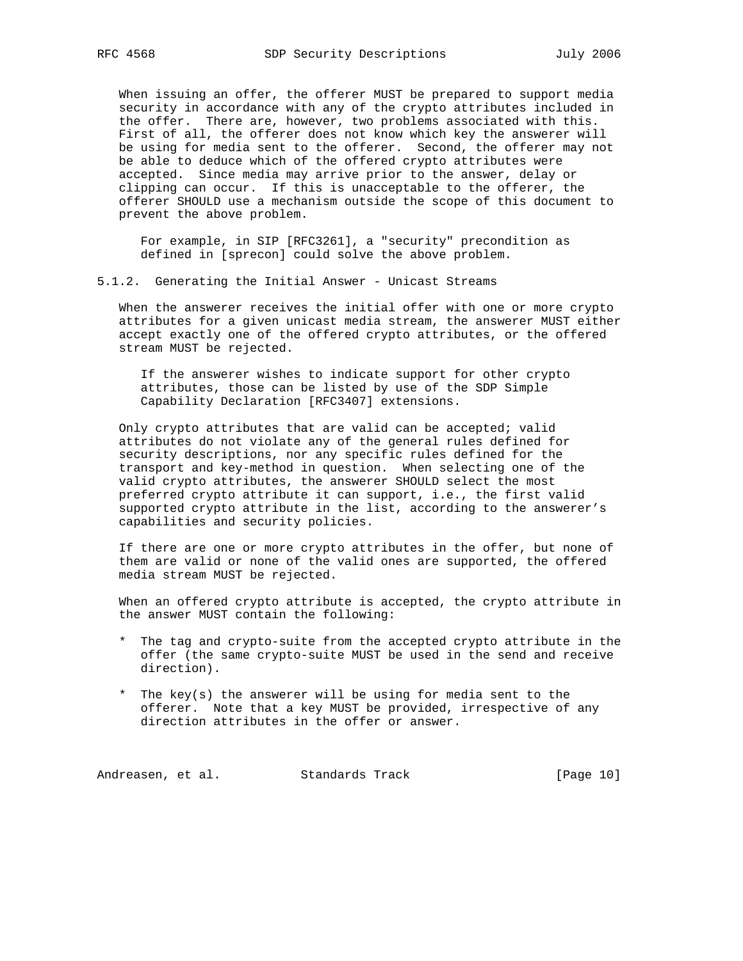When issuing an offer, the offerer MUST be prepared to support media security in accordance with any of the crypto attributes included in the offer. There are, however, two problems associated with this. First of all, the offerer does not know which key the answerer will be using for media sent to the offerer. Second, the offerer may not be able to deduce which of the offered crypto attributes were accepted. Since media may arrive prior to the answer, delay or clipping can occur. If this is unacceptable to the offerer, the offerer SHOULD use a mechanism outside the scope of this document to prevent the above problem.

 For example, in SIP [RFC3261], a "security" precondition as defined in [sprecon] could solve the above problem.

# 5.1.2. Generating the Initial Answer - Unicast Streams

 When the answerer receives the initial offer with one or more crypto attributes for a given unicast media stream, the answerer MUST either accept exactly one of the offered crypto attributes, or the offered stream MUST be rejected.

 If the answerer wishes to indicate support for other crypto attributes, those can be listed by use of the SDP Simple Capability Declaration [RFC3407] extensions.

 Only crypto attributes that are valid can be accepted; valid attributes do not violate any of the general rules defined for security descriptions, nor any specific rules defined for the transport and key-method in question. When selecting one of the valid crypto attributes, the answerer SHOULD select the most preferred crypto attribute it can support, i.e., the first valid supported crypto attribute in the list, according to the answerer's capabilities and security policies.

 If there are one or more crypto attributes in the offer, but none of them are valid or none of the valid ones are supported, the offered media stream MUST be rejected.

 When an offered crypto attribute is accepted, the crypto attribute in the answer MUST contain the following:

- \* The tag and crypto-suite from the accepted crypto attribute in the offer (the same crypto-suite MUST be used in the send and receive direction).
- \* The key(s) the answerer will be using for media sent to the offerer. Note that a key MUST be provided, irrespective of any direction attributes in the offer or answer.

Andreasen, et al. Standards Track [Page 10]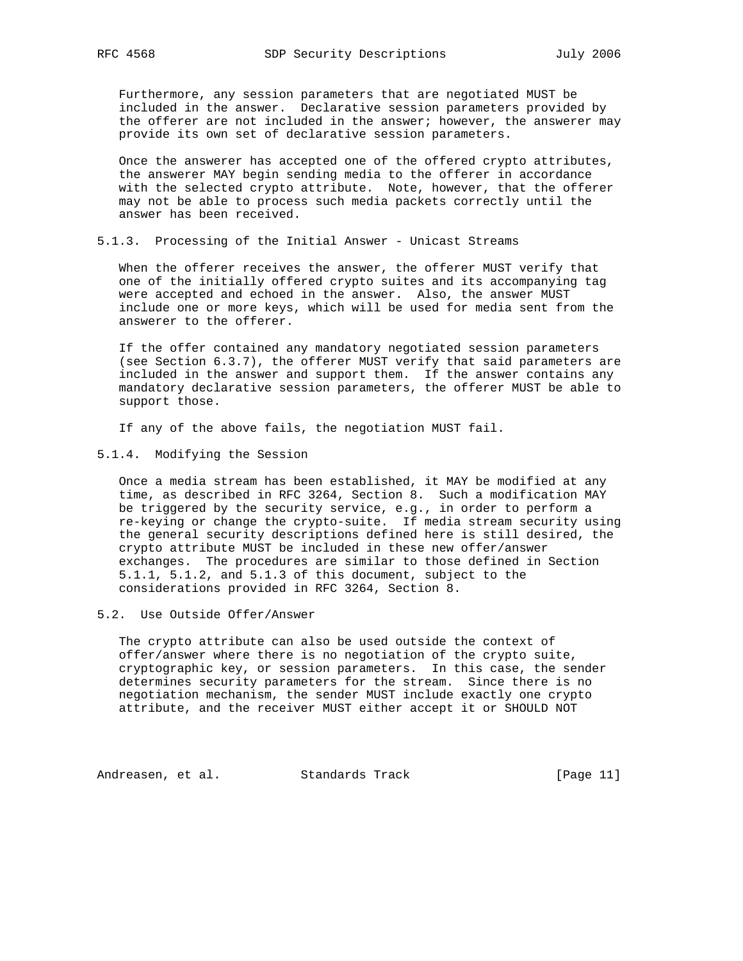Furthermore, any session parameters that are negotiated MUST be included in the answer. Declarative session parameters provided by the offerer are not included in the answer; however, the answerer may provide its own set of declarative session parameters.

 Once the answerer has accepted one of the offered crypto attributes, the answerer MAY begin sending media to the offerer in accordance with the selected crypto attribute. Note, however, that the offerer may not be able to process such media packets correctly until the answer has been received.

5.1.3. Processing of the Initial Answer - Unicast Streams

 When the offerer receives the answer, the offerer MUST verify that one of the initially offered crypto suites and its accompanying tag were accepted and echoed in the answer. Also, the answer MUST include one or more keys, which will be used for media sent from the answerer to the offerer.

 If the offer contained any mandatory negotiated session parameters (see Section 6.3.7), the offerer MUST verify that said parameters are included in the answer and support them. If the answer contains any mandatory declarative session parameters, the offerer MUST be able to support those.

If any of the above fails, the negotiation MUST fail.

5.1.4. Modifying the Session

 Once a media stream has been established, it MAY be modified at any time, as described in RFC 3264, Section 8. Such a modification MAY be triggered by the security service, e.g., in order to perform a re-keying or change the crypto-suite. If media stream security using the general security descriptions defined here is still desired, the crypto attribute MUST be included in these new offer/answer exchanges. The procedures are similar to those defined in Section 5.1.1, 5.1.2, and 5.1.3 of this document, subject to the considerations provided in RFC 3264, Section 8.

5.2. Use Outside Offer/Answer

 The crypto attribute can also be used outside the context of offer/answer where there is no negotiation of the crypto suite, cryptographic key, or session parameters. In this case, the sender determines security parameters for the stream. Since there is no negotiation mechanism, the sender MUST include exactly one crypto attribute, and the receiver MUST either accept it or SHOULD NOT

Andreasen, et al. Standards Track [Page 11]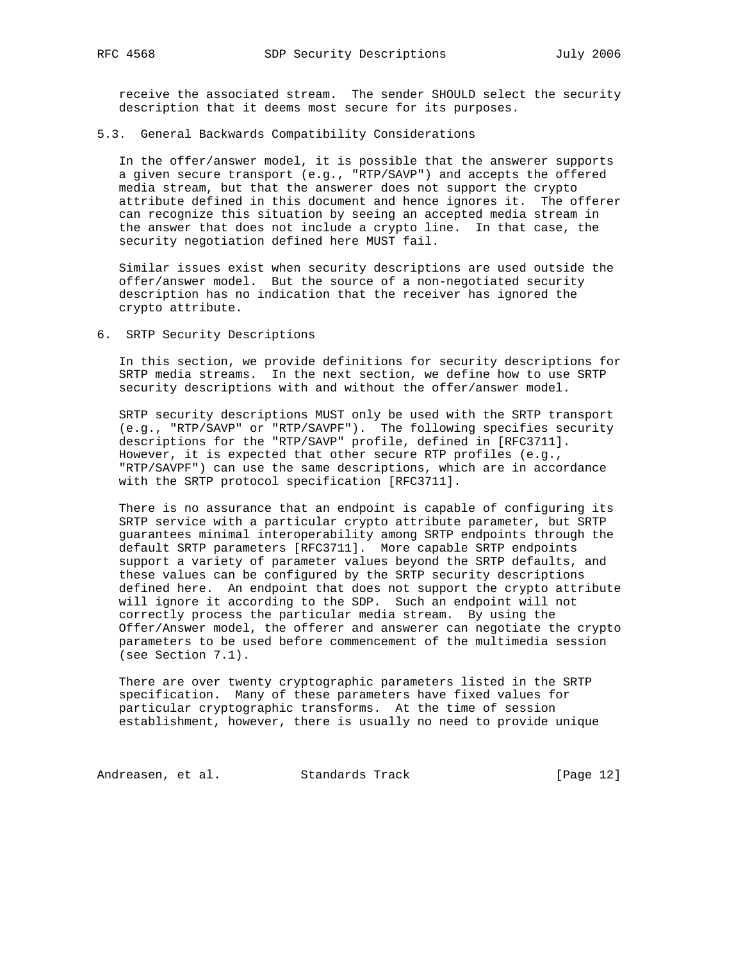receive the associated stream. The sender SHOULD select the security description that it deems most secure for its purposes.

5.3. General Backwards Compatibility Considerations

 In the offer/answer model, it is possible that the answerer supports a given secure transport (e.g., "RTP/SAVP") and accepts the offered media stream, but that the answerer does not support the crypto attribute defined in this document and hence ignores it. The offerer can recognize this situation by seeing an accepted media stream in the answer that does not include a crypto line. In that case, the security negotiation defined here MUST fail.

 Similar issues exist when security descriptions are used outside the offer/answer model. But the source of a non-negotiated security description has no indication that the receiver has ignored the crypto attribute.

## 6. SRTP Security Descriptions

 In this section, we provide definitions for security descriptions for SRTP media streams. In the next section, we define how to use SRTP security descriptions with and without the offer/answer model.

 SRTP security descriptions MUST only be used with the SRTP transport (e.g., "RTP/SAVP" or "RTP/SAVPF"). The following specifies security descriptions for the "RTP/SAVP" profile, defined in [RFC3711]. However, it is expected that other secure RTP profiles (e.g., "RTP/SAVPF") can use the same descriptions, which are in accordance with the SRTP protocol specification [RFC3711].

 There is no assurance that an endpoint is capable of configuring its SRTP service with a particular crypto attribute parameter, but SRTP guarantees minimal interoperability among SRTP endpoints through the default SRTP parameters [RFC3711]. More capable SRTP endpoints support a variety of parameter values beyond the SRTP defaults, and these values can be configured by the SRTP security descriptions defined here. An endpoint that does not support the crypto attribute will ignore it according to the SDP. Such an endpoint will not correctly process the particular media stream. By using the Offer/Answer model, the offerer and answerer can negotiate the crypto parameters to be used before commencement of the multimedia session (see Section 7.1).

 There are over twenty cryptographic parameters listed in the SRTP specification. Many of these parameters have fixed values for particular cryptographic transforms. At the time of session establishment, however, there is usually no need to provide unique

Andreasen, et al. Standards Track [Page 12]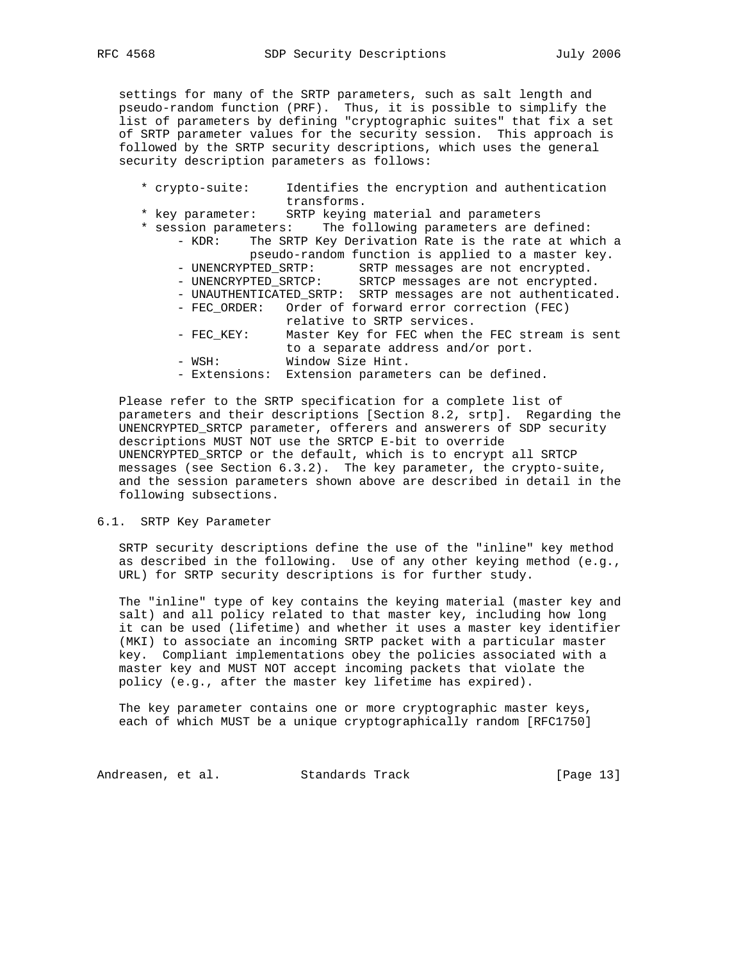settings for many of the SRTP parameters, such as salt length and pseudo-random function (PRF). Thus, it is possible to simplify the list of parameters by defining "cryptographic suites" that fix a set of SRTP parameter values for the security session. This approach is followed by the SRTP security descriptions, which uses the general security description parameters as follows:

- \* crypto-suite: Identifies the encryption and authentication transforms.
- \* key parameter: SRTP keying material and parameters
- \* session parameters: The following parameters are defined:
	- KDR: The SRTP Key Derivation Rate is the rate at which a pseudo-random function is applied to a master key.
- UNENCRYPTED\_SRTP: SRTP messages are not encrypted.
- UNENCRYPTED\_SRTCP: SRTCP messages are not encrypted.
- UNAUTHENTICATED\_SRTP: SRTP messages are not authenticated.
	- FEC\_ORDER: Order of forward error correction (FEC) relative to SRTP services.
		- FEC\_KEY: Master Key for FEC when the FEC stream is sent to a separate address and/or port.
		- WSH: Window Size Hint.
		- Extensions: Extension parameters can be defined.

 Please refer to the SRTP specification for a complete list of parameters and their descriptions [Section 8.2, srtp]. Regarding the UNENCRYPTED\_SRTCP parameter, offerers and answerers of SDP security descriptions MUST NOT use the SRTCP E-bit to override UNENCRYPTED\_SRTCP or the default, which is to encrypt all SRTCP messages (see Section 6.3.2). The key parameter, the crypto-suite, and the session parameters shown above are described in detail in the following subsections.

## 6.1. SRTP Key Parameter

 SRTP security descriptions define the use of the "inline" key method as described in the following. Use of any other keying method (e.g., URL) for SRTP security descriptions is for further study.

 The "inline" type of key contains the keying material (master key and salt) and all policy related to that master key, including how long it can be used (lifetime) and whether it uses a master key identifier (MKI) to associate an incoming SRTP packet with a particular master key. Compliant implementations obey the policies associated with a master key and MUST NOT accept incoming packets that violate the policy (e.g., after the master key lifetime has expired).

 The key parameter contains one or more cryptographic master keys, each of which MUST be a unique cryptographically random [RFC1750]

Andreasen, et al. Standards Track [Page 13]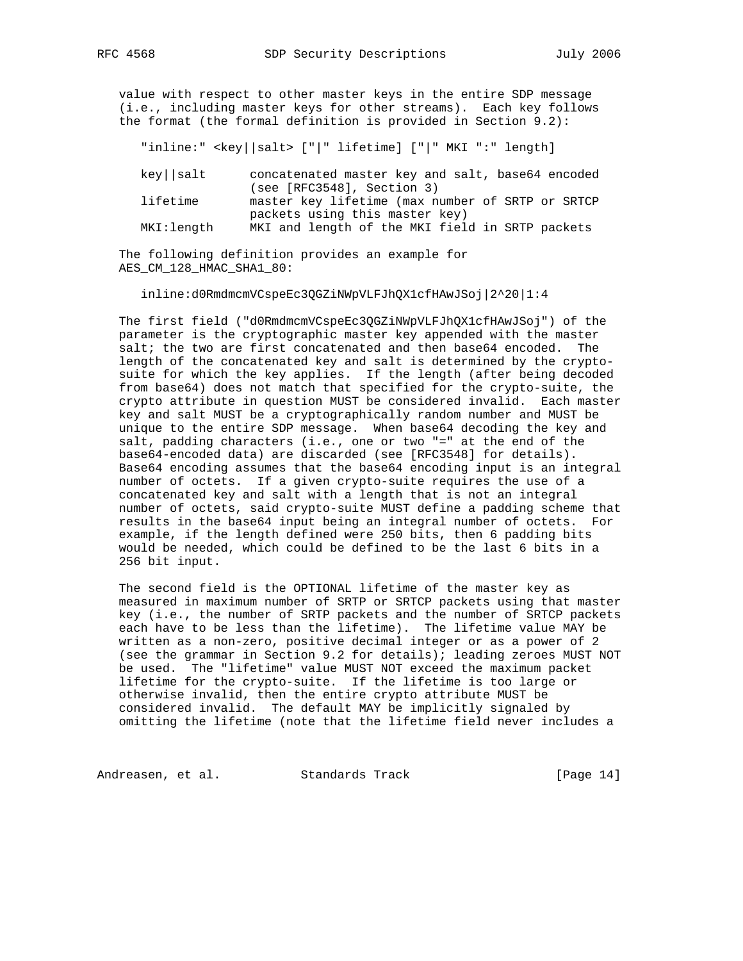value with respect to other master keys in the entire SDP message (i.e., including master keys for other streams). Each key follows the format (the formal definition is provided in Section 9.2):

"inline:" <key||salt> ["|" lifetime] ["|" MKI ":" length]

 key||salt concatenated master key and salt, base64 encoded (see [RFC3548], Section 3) lifetime master key lifetime (max number of SRTP or SRTCP packets using this master key) MKI:length MKI and length of the MKI field in SRTP packets

 The following definition provides an example for AES\_CM\_128\_HMAC\_SHA1\_80:

inline:d0RmdmcmVCspeEc3QGZiNWpVLFJhQX1cfHAwJSoj|2^20|1:4

 The first field ("d0RmdmcmVCspeEc3QGZiNWpVLFJhQX1cfHAwJSoj") of the parameter is the cryptographic master key appended with the master salt; the two are first concatenated and then base64 encoded. The length of the concatenated key and salt is determined by the crypto suite for which the key applies. If the length (after being decoded from base64) does not match that specified for the crypto-suite, the crypto attribute in question MUST be considered invalid. Each master key and salt MUST be a cryptographically random number and MUST be unique to the entire SDP message. When base64 decoding the key and salt, padding characters (i.e., one or two "=" at the end of the base64-encoded data) are discarded (see [RFC3548] for details). Base64 encoding assumes that the base64 encoding input is an integral number of octets. If a given crypto-suite requires the use of a concatenated key and salt with a length that is not an integral number of octets, said crypto-suite MUST define a padding scheme that results in the base64 input being an integral number of octets. For example, if the length defined were 250 bits, then 6 padding bits would be needed, which could be defined to be the last 6 bits in a 256 bit input.

 The second field is the OPTIONAL lifetime of the master key as measured in maximum number of SRTP or SRTCP packets using that master key (i.e., the number of SRTP packets and the number of SRTCP packets each have to be less than the lifetime). The lifetime value MAY be written as a non-zero, positive decimal integer or as a power of 2 (see the grammar in Section 9.2 for details); leading zeroes MUST NOT be used. The "lifetime" value MUST NOT exceed the maximum packet lifetime for the crypto-suite. If the lifetime is too large or otherwise invalid, then the entire crypto attribute MUST be considered invalid. The default MAY be implicitly signaled by omitting the lifetime (note that the lifetime field never includes a

Andreasen, et al. Standards Track [Page 14]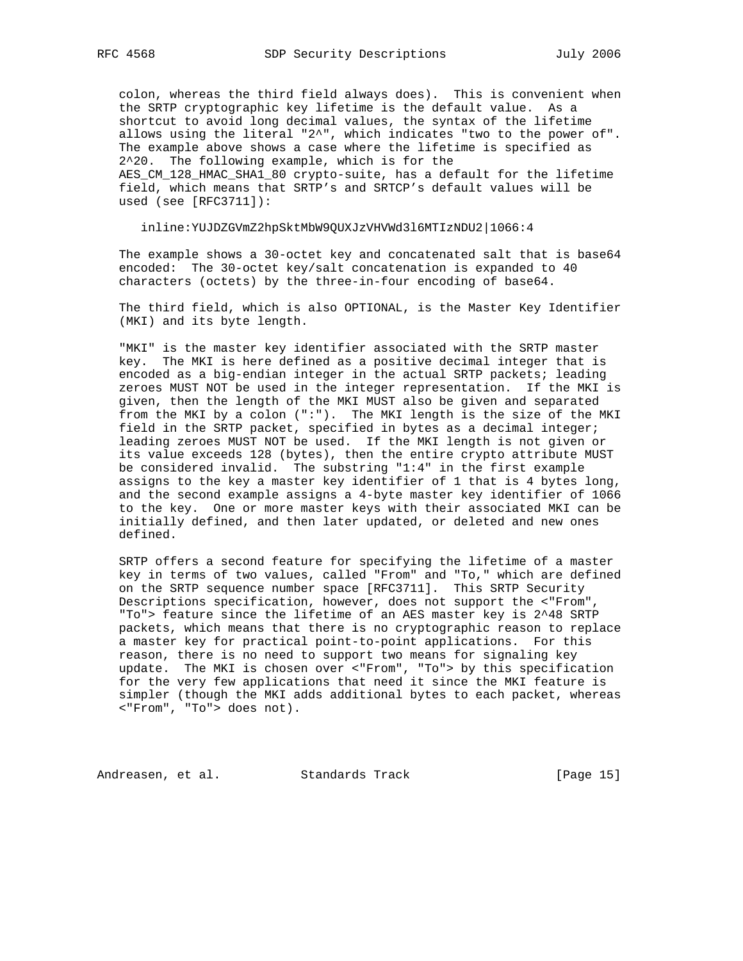colon, whereas the third field always does). This is convenient when the SRTP cryptographic key lifetime is the default value. As a shortcut to avoid long decimal values, the syntax of the lifetime allows using the literal "2^", which indicates "two to the power of". The example above shows a case where the lifetime is specified as 2^20. The following example, which is for the AES\_CM\_128\_HMAC\_SHA1\_80 crypto-suite, has a default for the lifetime field, which means that SRTP's and SRTCP's default values will be used (see [RFC3711]):

inline:YUJDZGVmZ2hpSktMbW9QUXJzVHVWd3l6MTIzNDU2|1066:4

 The example shows a 30-octet key and concatenated salt that is base64 encoded: The 30-octet key/salt concatenation is expanded to 40 characters (octets) by the three-in-four encoding of base64.

 The third field, which is also OPTIONAL, is the Master Key Identifier (MKI) and its byte length.

 "MKI" is the master key identifier associated with the SRTP master key. The MKI is here defined as a positive decimal integer that is encoded as a big-endian integer in the actual SRTP packets; leading zeroes MUST NOT be used in the integer representation. If the MKI is given, then the length of the MKI MUST also be given and separated from the MKI by a colon (":"). The MKI length is the size of the MKI field in the SRTP packet, specified in bytes as a decimal integer; leading zeroes MUST NOT be used. If the MKI length is not given or its value exceeds 128 (bytes), then the entire crypto attribute MUST be considered invalid. The substring "1:4" in the first example assigns to the key a master key identifier of 1 that is 4 bytes long, and the second example assigns a 4-byte master key identifier of 1066 to the key. One or more master keys with their associated MKI can be initially defined, and then later updated, or deleted and new ones defined.

 SRTP offers a second feature for specifying the lifetime of a master key in terms of two values, called "From" and "To," which are defined on the SRTP sequence number space [RFC3711]. This SRTP Security Descriptions specification, however, does not support the <"From", "To"> feature since the lifetime of an AES master key is 2^48 SRTP packets, which means that there is no cryptographic reason to replace a master key for practical point-to-point applications. For this reason, there is no need to support two means for signaling key update. The MKI is chosen over <"From", "To"> by this specification for the very few applications that need it since the MKI feature is simpler (though the MKI adds additional bytes to each packet, whereas <"From", "To"> does not).

Andreasen, et al. Standards Track [Page 15]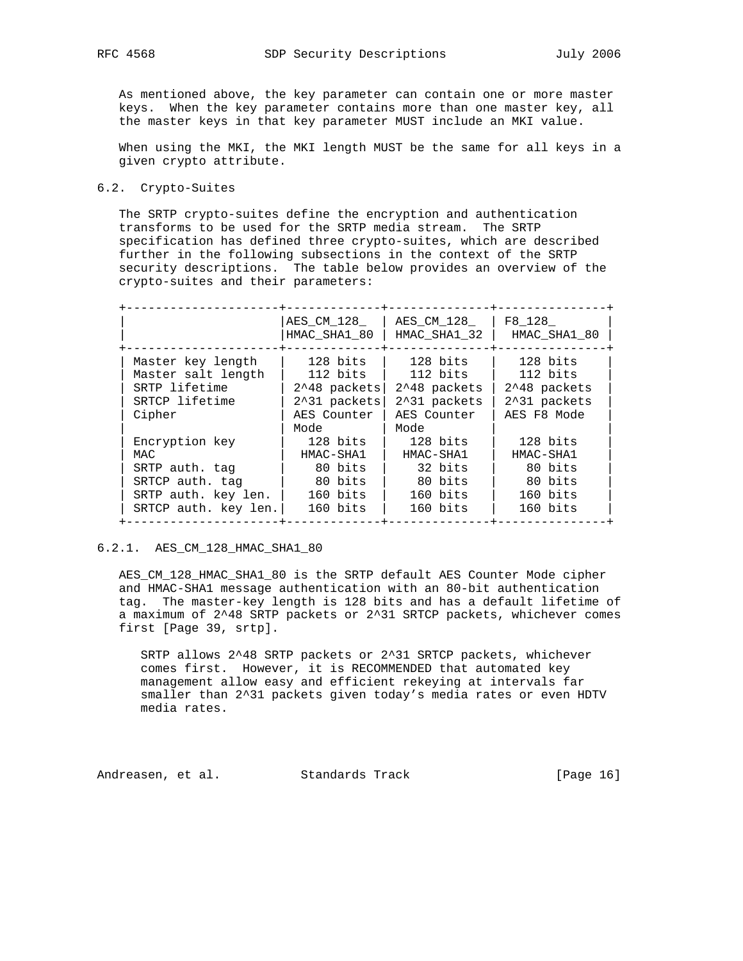As mentioned above, the key parameter can contain one or more master keys. When the key parameter contains more than one master key, all the master keys in that key parameter MUST include an MKI value.

 When using the MKI, the MKI length MUST be the same for all keys in a given crypto attribute.

## 6.2. Crypto-Suites

 The SRTP crypto-suites define the encryption and authentication transforms to be used for the SRTP media stream. The SRTP specification has defined three crypto-suites, which are described further in the following subsections in the context of the SRTP security descriptions. The table below provides an overview of the crypto-suites and their parameters:

|                      | AES CM 128          | AES CM 128          | F8 128       |
|----------------------|---------------------|---------------------|--------------|
|                      | HMAC SHA1 80        | HMAC SHA1 32        | HMAC SHA1 80 |
| Master key length    | 128 bits            | 128 bits            | 128 bits     |
| Master salt length   | 112 bits            | 112 bits            | 112 bits     |
| SRTP lifetime        | $2^48$ packets      | 2^48 packets        | 2^48 packets |
| SRTCP lifetime       | $2^31$ packets      | 2^31 packets        | 2^31 packets |
| Cipher               | AES Counter<br>Mode | AES Counter<br>Mode | AES F8 Mode  |
| Encryption key       | 128 bits            | 128 bits            | 128 bits     |
| MAC.                 | HMAC-SHA1           | HMAC-SHA1           | HMAC-SHA1    |
| SRTP auth. tag       | 80 bits             | 32 bits             | 80 bits      |
| SRTCP auth. tag      | 80 bits             | 80 bits             | 80 bits      |
| SRTP auth. key len.  | 160 bits            | 160 bits            | 160 bits     |
| SRTCP auth. key len. | 160 bits            | 160 bits            | 160 bits     |

## 6.2.1. AES\_CM\_128\_HMAC\_SHA1\_80

 AES\_CM\_128\_HMAC\_SHA1\_80 is the SRTP default AES Counter Mode cipher and HMAC-SHA1 message authentication with an 80-bit authentication tag. The master-key length is 128 bits and has a default lifetime of a maximum of 2^48 SRTP packets or 2^31 SRTCP packets, whichever comes first [Page 39, srtp].

 SRTP allows 2^48 SRTP packets or 2^31 SRTCP packets, whichever comes first. However, it is RECOMMENDED that automated key management allow easy and efficient rekeying at intervals far smaller than 2^31 packets given today's media rates or even HDTV media rates.

Andreasen, et al. Standards Track [Page 16]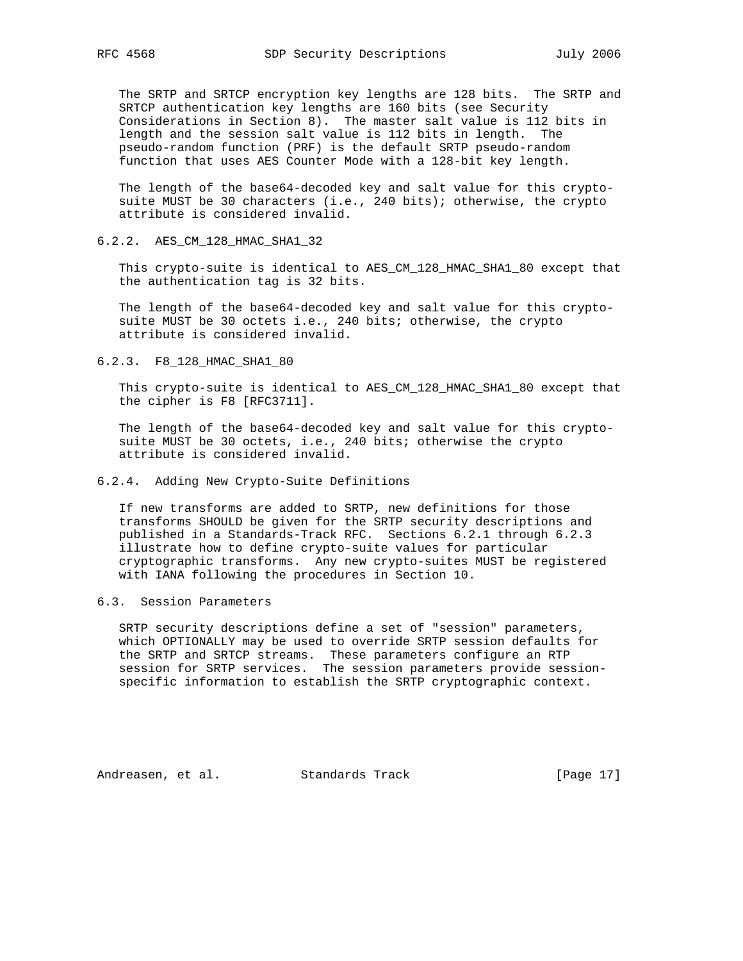The SRTP and SRTCP encryption key lengths are 128 bits. The SRTP and SRTCP authentication key lengths are 160 bits (see Security Considerations in Section 8). The master salt value is 112 bits in length and the session salt value is 112 bits in length. The pseudo-random function (PRF) is the default SRTP pseudo-random function that uses AES Counter Mode with a 128-bit key length.

 The length of the base64-decoded key and salt value for this crypto suite MUST be 30 characters (i.e., 240 bits); otherwise, the crypto attribute is considered invalid.

#### 6.2.2. AES\_CM\_128\_HMAC\_SHA1\_32

 This crypto-suite is identical to AES\_CM\_128\_HMAC\_SHA1\_80 except that the authentication tag is 32 bits.

 The length of the base64-decoded key and salt value for this crypto suite MUST be 30 octets i.e., 240 bits; otherwise, the crypto attribute is considered invalid.

## 6.2.3. F8\_128\_HMAC\_SHA1\_80

 This crypto-suite is identical to AES\_CM\_128\_HMAC\_SHA1\_80 except that the cipher is F8 [RFC3711].

 The length of the base64-decoded key and salt value for this crypto suite MUST be 30 octets, i.e., 240 bits; otherwise the crypto attribute is considered invalid.

# 6.2.4. Adding New Crypto-Suite Definitions

 If new transforms are added to SRTP, new definitions for those transforms SHOULD be given for the SRTP security descriptions and published in a Standards-Track RFC. Sections 6.2.1 through 6.2.3 illustrate how to define crypto-suite values for particular cryptographic transforms. Any new crypto-suites MUST be registered with IANA following the procedures in Section 10.

## 6.3. Session Parameters

 SRTP security descriptions define a set of "session" parameters, which OPTIONALLY may be used to override SRTP session defaults for the SRTP and SRTCP streams. These parameters configure an RTP session for SRTP services. The session parameters provide session specific information to establish the SRTP cryptographic context.

Andreasen, et al. Standards Track [Page 17]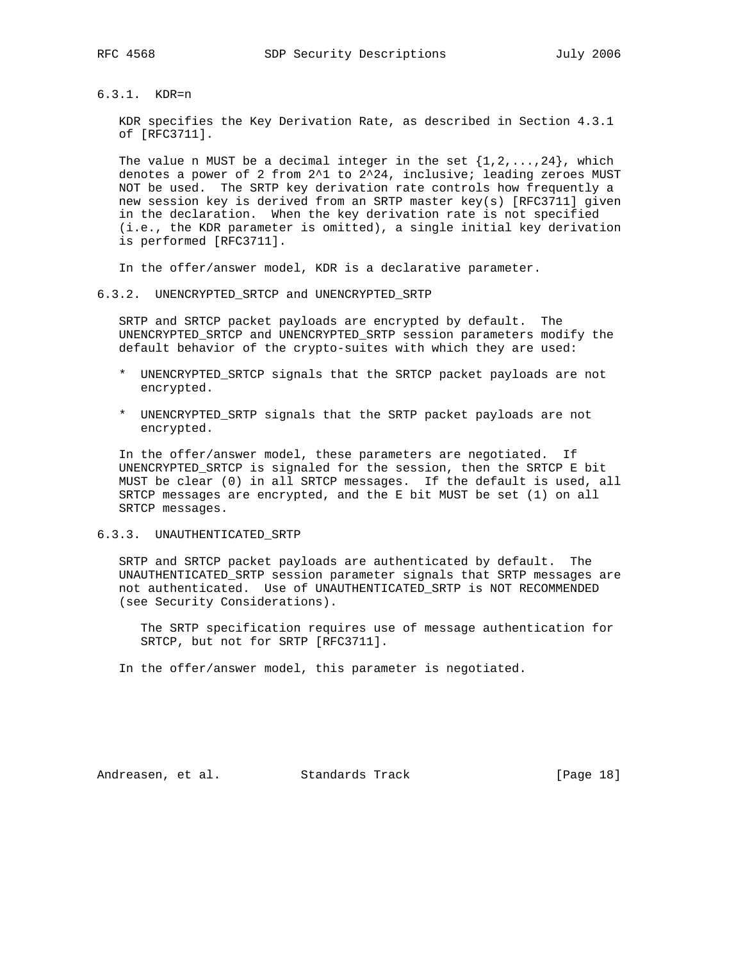6.3.1. KDR=n

 KDR specifies the Key Derivation Rate, as described in Section 4.3.1 of [RFC3711].

The value n MUST be a decimal integer in the set  $\{1,2,\ldots,24\}$ , which denotes a power of 2 from 2^1 to 2^24, inclusive; leading zeroes MUST NOT be used. The SRTP key derivation rate controls how frequently a new session key is derived from an SRTP master key(s) [RFC3711] given in the declaration. When the key derivation rate is not specified (i.e., the KDR parameter is omitted), a single initial key derivation is performed [RFC3711].

In the offer/answer model, KDR is a declarative parameter.

6.3.2. UNENCRYPTED\_SRTCP and UNENCRYPTED\_SRTP

 SRTP and SRTCP packet payloads are encrypted by default. The UNENCRYPTED\_SRTCP and UNENCRYPTED\_SRTP session parameters modify the default behavior of the crypto-suites with which they are used:

- \* UNENCRYPTED\_SRTCP signals that the SRTCP packet payloads are not encrypted.
- \* UNENCRYPTED\_SRTP signals that the SRTP packet payloads are not encrypted.

 In the offer/answer model, these parameters are negotiated. If UNENCRYPTED\_SRTCP is signaled for the session, then the SRTCP E bit MUST be clear (0) in all SRTCP messages. If the default is used, all SRTCP messages are encrypted, and the E bit MUST be set (1) on all SRTCP messages.

## 6.3.3. UNAUTHENTICATED\_SRTP

 SRTP and SRTCP packet payloads are authenticated by default. The UNAUTHENTICATED\_SRTP session parameter signals that SRTP messages are not authenticated. Use of UNAUTHENTICATED\_SRTP is NOT RECOMMENDED (see Security Considerations).

 The SRTP specification requires use of message authentication for SRTCP, but not for SRTP [RFC3711].

In the offer/answer model, this parameter is negotiated.

Andreasen, et al. Standards Track [Page 18]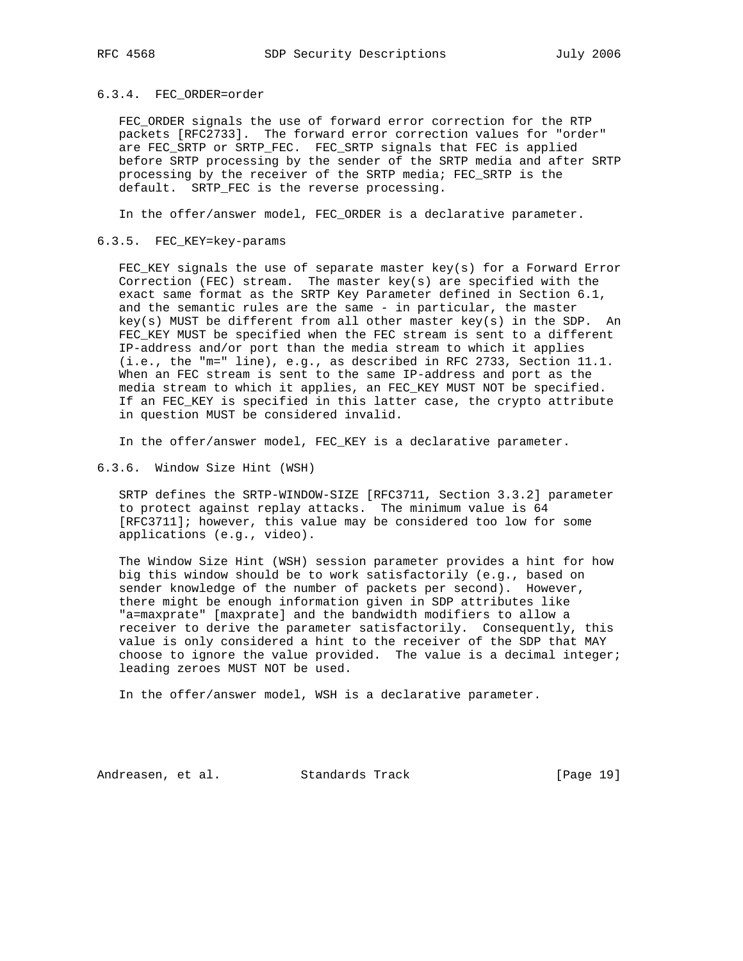## 6.3.4. FEC\_ORDER=order

 FEC\_ORDER signals the use of forward error correction for the RTP packets [RFC2733]. The forward error correction values for "order" are FEC\_SRTP or SRTP\_FEC. FEC\_SRTP signals that FEC is applied before SRTP processing by the sender of the SRTP media and after SRTP processing by the receiver of the SRTP media; FEC\_SRTP is the default. SRTP\_FEC is the reverse processing.

In the offer/answer model, FEC\_ORDER is a declarative parameter.

## 6.3.5. FEC\_KEY=key-params

 FEC\_KEY signals the use of separate master key(s) for a Forward Error Correction (FEC) stream. The master key(s) are specified with the exact same format as the SRTP Key Parameter defined in Section 6.1, and the semantic rules are the same - in particular, the master key(s) MUST be different from all other master key(s) in the SDP. An FEC\_KEY MUST be specified when the FEC stream is sent to a different IP-address and/or port than the media stream to which it applies (i.e., the "m=" line), e.g., as described in RFC 2733, Section 11.1. When an FEC stream is sent to the same IP-address and port as the media stream to which it applies, an FEC\_KEY MUST NOT be specified. If an FEC\_KEY is specified in this latter case, the crypto attribute in question MUST be considered invalid.

In the offer/answer model, FEC\_KEY is a declarative parameter.

#### 6.3.6. Window Size Hint (WSH)

 SRTP defines the SRTP-WINDOW-SIZE [RFC3711, Section 3.3.2] parameter to protect against replay attacks. The minimum value is 64 [RFC3711]; however, this value may be considered too low for some applications (e.g., video).

 The Window Size Hint (WSH) session parameter provides a hint for how big this window should be to work satisfactorily (e.g., based on sender knowledge of the number of packets per second). However, there might be enough information given in SDP attributes like "a=maxprate" [maxprate] and the bandwidth modifiers to allow a receiver to derive the parameter satisfactorily. Consequently, this value is only considered a hint to the receiver of the SDP that MAY choose to ignore the value provided. The value is a decimal integer; leading zeroes MUST NOT be used.

In the offer/answer model, WSH is a declarative parameter.

Andreasen, et al. Standards Track [Page 19]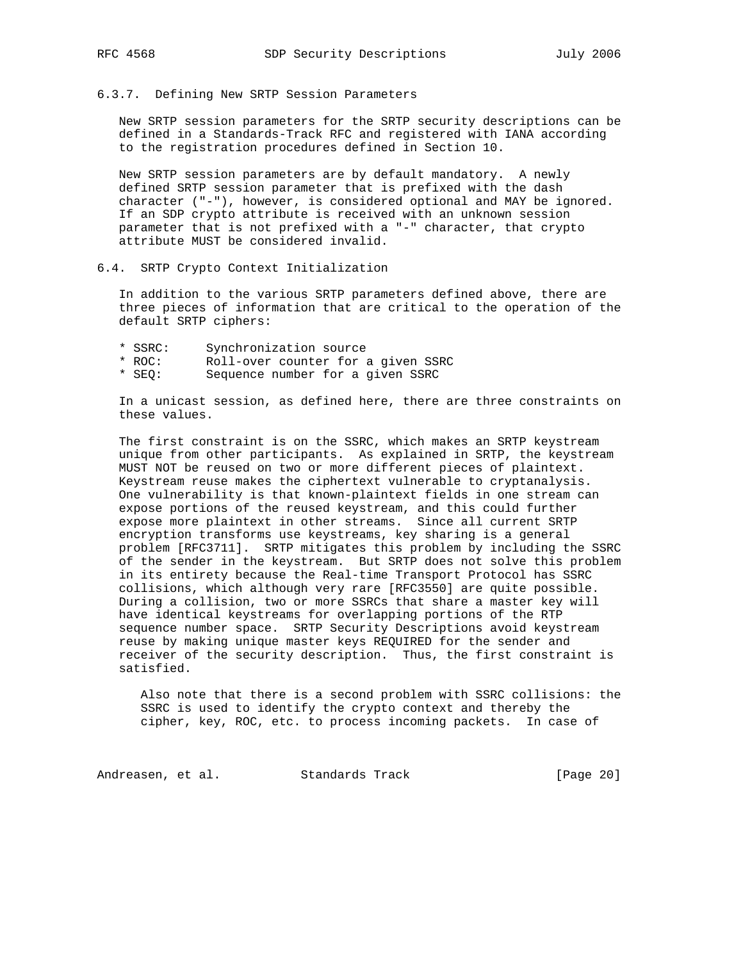# 6.3.7. Defining New SRTP Session Parameters

 New SRTP session parameters for the SRTP security descriptions can be defined in a Standards-Track RFC and registered with IANA according to the registration procedures defined in Section 10.

 New SRTP session parameters are by default mandatory. A newly defined SRTP session parameter that is prefixed with the dash character ("-"), however, is considered optional and MAY be ignored. If an SDP crypto attribute is received with an unknown session parameter that is not prefixed with a "-" character, that crypto attribute MUST be considered invalid.

#### 6.4. SRTP Crypto Context Initialization

 In addition to the various SRTP parameters defined above, there are three pieces of information that are critical to the operation of the default SRTP ciphers:

- \* SSRC: Synchronization source
- \* ROC: Roll-over counter for a given SSRC
- \* SEQ: Sequence number for a given SSRC

 In a unicast session, as defined here, there are three constraints on these values.

 The first constraint is on the SSRC, which makes an SRTP keystream unique from other participants. As explained in SRTP, the keystream MUST NOT be reused on two or more different pieces of plaintext. Keystream reuse makes the ciphertext vulnerable to cryptanalysis. One vulnerability is that known-plaintext fields in one stream can expose portions of the reused keystream, and this could further expose more plaintext in other streams. Since all current SRTP encryption transforms use keystreams, key sharing is a general problem [RFC3711]. SRTP mitigates this problem by including the SSRC of the sender in the keystream. But SRTP does not solve this problem in its entirety because the Real-time Transport Protocol has SSRC collisions, which although very rare [RFC3550] are quite possible. During a collision, two or more SSRCs that share a master key will have identical keystreams for overlapping portions of the RTP sequence number space. SRTP Security Descriptions avoid keystream reuse by making unique master keys REQUIRED for the sender and receiver of the security description. Thus, the first constraint is satisfied.

 Also note that there is a second problem with SSRC collisions: the SSRC is used to identify the crypto context and thereby the cipher, key, ROC, etc. to process incoming packets. In case of

Andreasen, et al. Standards Track [Page 20]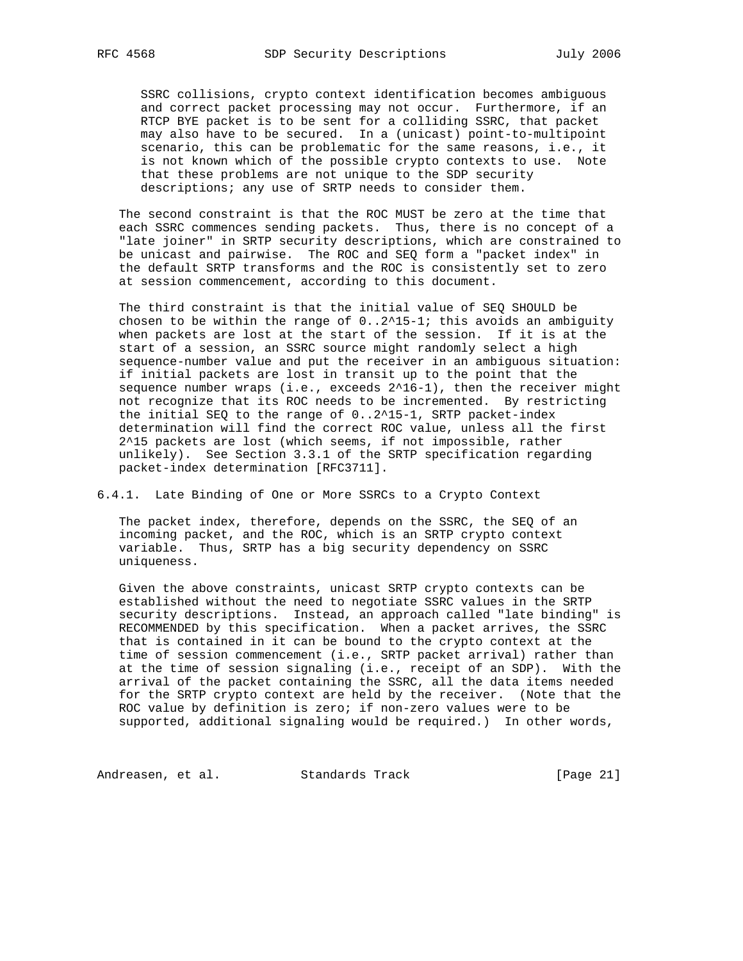SSRC collisions, crypto context identification becomes ambiguous and correct packet processing may not occur. Furthermore, if an RTCP BYE packet is to be sent for a colliding SSRC, that packet may also have to be secured. In a (unicast) point-to-multipoint scenario, this can be problematic for the same reasons, i.e., it is not known which of the possible crypto contexts to use. Note that these problems are not unique to the SDP security descriptions; any use of SRTP needs to consider them.

 The second constraint is that the ROC MUST be zero at the time that each SSRC commences sending packets. Thus, there is no concept of a "late joiner" in SRTP security descriptions, which are constrained to be unicast and pairwise. The ROC and SEQ form a "packet index" in the default SRTP transforms and the ROC is consistently set to zero at session commencement, according to this document.

 The third constraint is that the initial value of SEQ SHOULD be chosen to be within the range of  $0..2^15-1$ ; this avoids an ambiguity when packets are lost at the start of the session. If it is at the start of a session, an SSRC source might randomly select a high sequence-number value and put the receiver in an ambiguous situation: if initial packets are lost in transit up to the point that the sequence number wraps (i.e., exceeds 2^16-1), then the receiver might not recognize that its ROC needs to be incremented. By restricting the initial SEQ to the range of 0..2^15-1, SRTP packet-index determination will find the correct ROC value, unless all the first 2^15 packets are lost (which seems, if not impossible, rather unlikely). See Section 3.3.1 of the SRTP specification regarding packet-index determination [RFC3711].

## 6.4.1. Late Binding of One or More SSRCs to a Crypto Context

 The packet index, therefore, depends on the SSRC, the SEQ of an incoming packet, and the ROC, which is an SRTP crypto context variable. Thus, SRTP has a big security dependency on SSRC uniqueness.

 Given the above constraints, unicast SRTP crypto contexts can be established without the need to negotiate SSRC values in the SRTP security descriptions. Instead, an approach called "late binding" is RECOMMENDED by this specification. When a packet arrives, the SSRC that is contained in it can be bound to the crypto context at the time of session commencement (i.e., SRTP packet arrival) rather than at the time of session signaling (i.e., receipt of an SDP). With the arrival of the packet containing the SSRC, all the data items needed for the SRTP crypto context are held by the receiver. (Note that the ROC value by definition is zero; if non-zero values were to be supported, additional signaling would be required.) In other words,

Andreasen, et al. Standards Track [Page 21]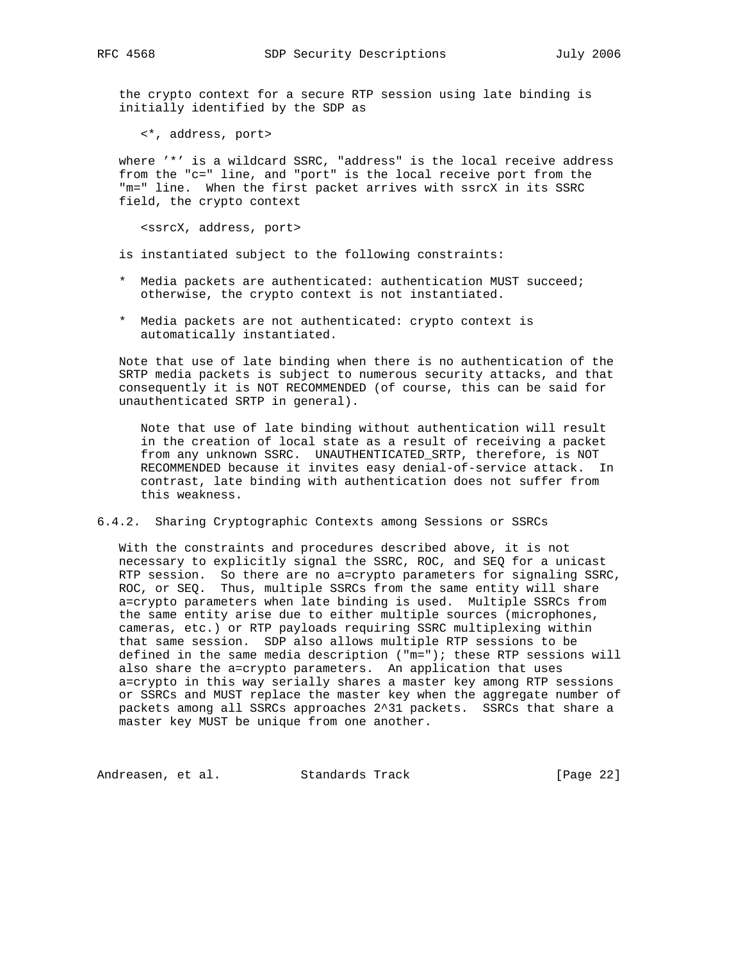the crypto context for a secure RTP session using late binding is initially identified by the SDP as

<\*, address, port>

 where '\*' is a wildcard SSRC, "address" is the local receive address from the "c=" line, and "port" is the local receive port from the "m=" line. When the first packet arrives with ssrcX in its SSRC field, the crypto context

<ssrcX, address, port>

is instantiated subject to the following constraints:

- \* Media packets are authenticated: authentication MUST succeed; otherwise, the crypto context is not instantiated.
- \* Media packets are not authenticated: crypto context is automatically instantiated.

 Note that use of late binding when there is no authentication of the SRTP media packets is subject to numerous security attacks, and that consequently it is NOT RECOMMENDED (of course, this can be said for unauthenticated SRTP in general).

 Note that use of late binding without authentication will result in the creation of local state as a result of receiving a packet from any unknown SSRC. UNAUTHENTICATED\_SRTP, therefore, is NOT RECOMMENDED because it invites easy denial-of-service attack. In contrast, late binding with authentication does not suffer from this weakness.

6.4.2. Sharing Cryptographic Contexts among Sessions or SSRCs

 With the constraints and procedures described above, it is not necessary to explicitly signal the SSRC, ROC, and SEQ for a unicast RTP session. So there are no a=crypto parameters for signaling SSRC, ROC, or SEQ. Thus, multiple SSRCs from the same entity will share a=crypto parameters when late binding is used. Multiple SSRCs from the same entity arise due to either multiple sources (microphones, cameras, etc.) or RTP payloads requiring SSRC multiplexing within that same session. SDP also allows multiple RTP sessions to be defined in the same media description ("m="); these RTP sessions will also share the a=crypto parameters. An application that uses a=crypto in this way serially shares a master key among RTP sessions or SSRCs and MUST replace the master key when the aggregate number of packets among all SSRCs approaches 2^31 packets. SSRCs that share a master key MUST be unique from one another.

Andreasen, et al. Standards Track [Page 22]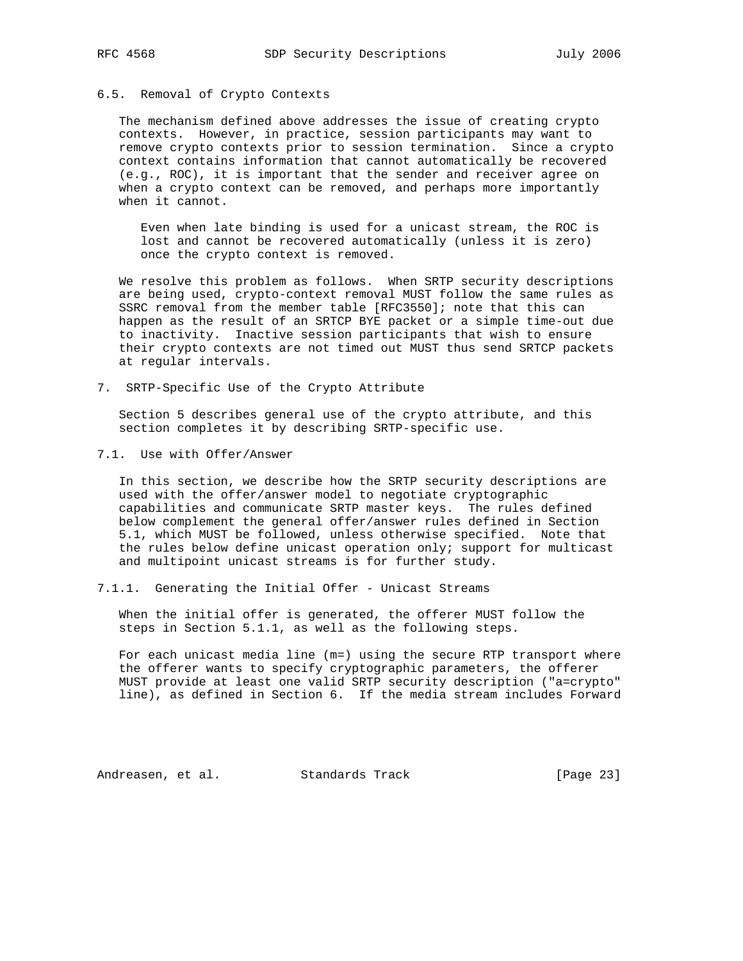# 6.5. Removal of Crypto Contexts

 The mechanism defined above addresses the issue of creating crypto contexts. However, in practice, session participants may want to remove crypto contexts prior to session termination. Since a crypto context contains information that cannot automatically be recovered (e.g., ROC), it is important that the sender and receiver agree on when a crypto context can be removed, and perhaps more importantly when it cannot.

 Even when late binding is used for a unicast stream, the ROC is lost and cannot be recovered automatically (unless it is zero) once the crypto context is removed.

 We resolve this problem as follows. When SRTP security descriptions are being used, crypto-context removal MUST follow the same rules as SSRC removal from the member table [RFC3550]; note that this can happen as the result of an SRTCP BYE packet or a simple time-out due to inactivity. Inactive session participants that wish to ensure their crypto contexts are not timed out MUST thus send SRTCP packets at regular intervals.

7. SRTP-Specific Use of the Crypto Attribute

 Section 5 describes general use of the crypto attribute, and this section completes it by describing SRTP-specific use.

7.1. Use with Offer/Answer

 In this section, we describe how the SRTP security descriptions are used with the offer/answer model to negotiate cryptographic capabilities and communicate SRTP master keys. The rules defined below complement the general offer/answer rules defined in Section 5.1, which MUST be followed, unless otherwise specified. Note that the rules below define unicast operation only; support for multicast and multipoint unicast streams is for further study.

#### 7.1.1. Generating the Initial Offer - Unicast Streams

 When the initial offer is generated, the offerer MUST follow the steps in Section 5.1.1, as well as the following steps.

 For each unicast media line (m=) using the secure RTP transport where the offerer wants to specify cryptographic parameters, the offerer MUST provide at least one valid SRTP security description ("a=crypto" line), as defined in Section 6. If the media stream includes Forward

Andreasen, et al. Standards Track [Page 23]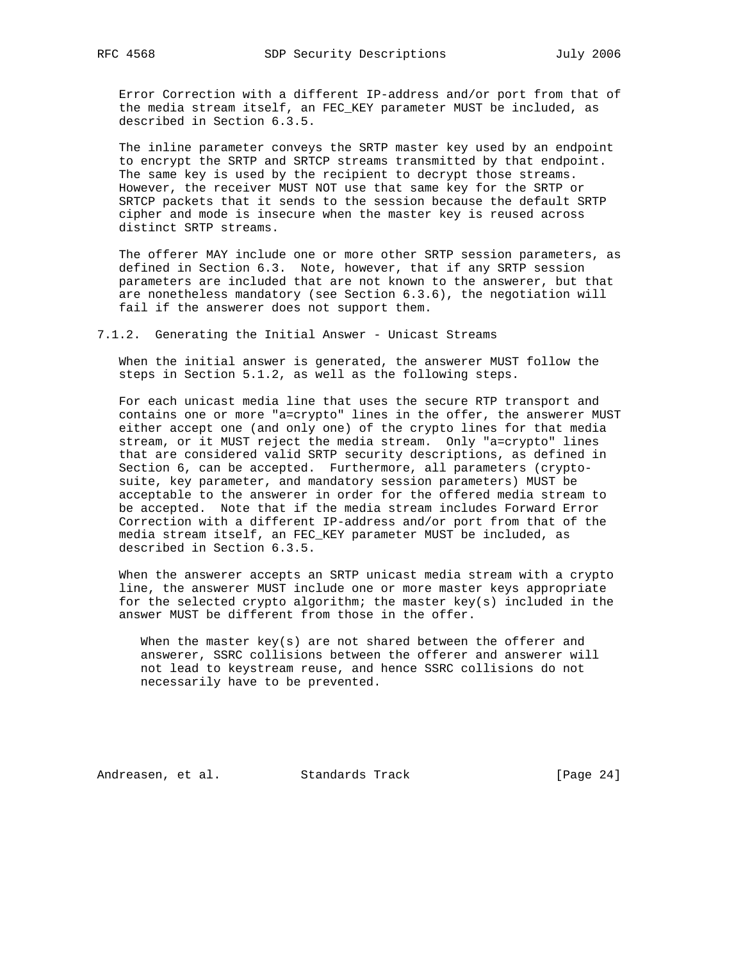Error Correction with a different IP-address and/or port from that of the media stream itself, an FEC\_KEY parameter MUST be included, as described in Section 6.3.5.

 The inline parameter conveys the SRTP master key used by an endpoint to encrypt the SRTP and SRTCP streams transmitted by that endpoint. The same key is used by the recipient to decrypt those streams. However, the receiver MUST NOT use that same key for the SRTP or SRTCP packets that it sends to the session because the default SRTP cipher and mode is insecure when the master key is reused across distinct SRTP streams.

 The offerer MAY include one or more other SRTP session parameters, as defined in Section 6.3. Note, however, that if any SRTP session parameters are included that are not known to the answerer, but that are nonetheless mandatory (see Section 6.3.6), the negotiation will fail if the answerer does not support them.

7.1.2. Generating the Initial Answer - Unicast Streams

 When the initial answer is generated, the answerer MUST follow the steps in Section 5.1.2, as well as the following steps.

 For each unicast media line that uses the secure RTP transport and contains one or more "a=crypto" lines in the offer, the answerer MUST either accept one (and only one) of the crypto lines for that media stream, or it MUST reject the media stream. Only "a=crypto" lines that are considered valid SRTP security descriptions, as defined in Section 6, can be accepted. Furthermore, all parameters (crypto suite, key parameter, and mandatory session parameters) MUST be acceptable to the answerer in order for the offered media stream to be accepted. Note that if the media stream includes Forward Error Correction with a different IP-address and/or port from that of the media stream itself, an FEC\_KEY parameter MUST be included, as described in Section 6.3.5.

 When the answerer accepts an SRTP unicast media stream with a crypto line, the answerer MUST include one or more master keys appropriate for the selected crypto algorithm; the master key(s) included in the answer MUST be different from those in the offer.

When the master key(s) are not shared between the offerer and answerer, SSRC collisions between the offerer and answerer will not lead to keystream reuse, and hence SSRC collisions do not necessarily have to be prevented.

Andreasen, et al. Standards Track [Page 24]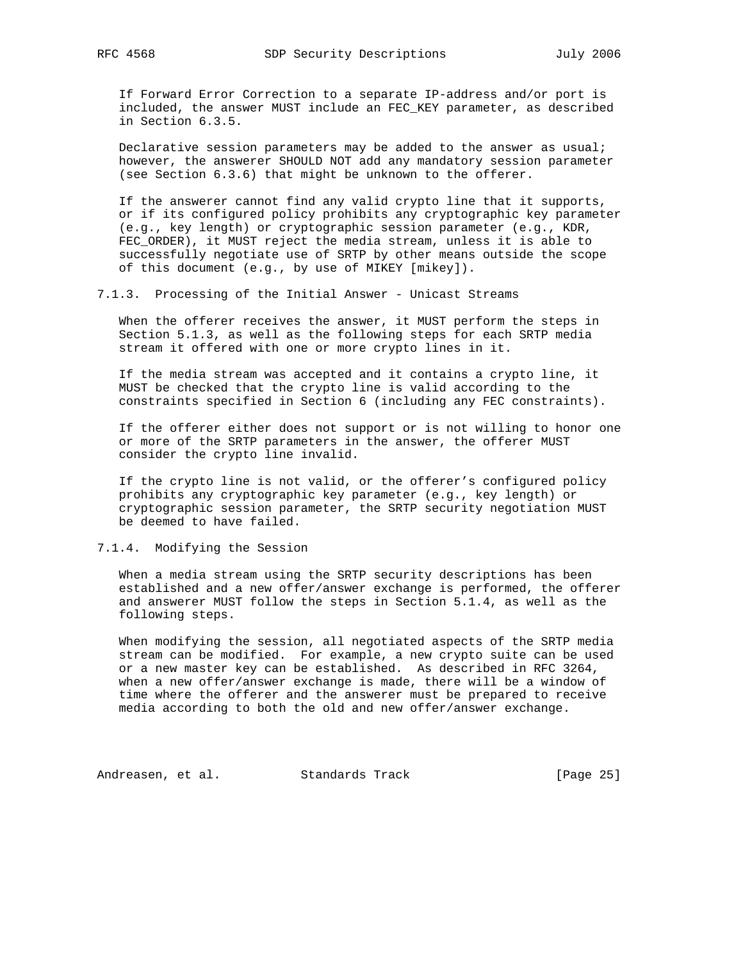If Forward Error Correction to a separate IP-address and/or port is included, the answer MUST include an FEC\_KEY parameter, as described in Section 6.3.5.

 Declarative session parameters may be added to the answer as usual; however, the answerer SHOULD NOT add any mandatory session parameter (see Section 6.3.6) that might be unknown to the offerer.

 If the answerer cannot find any valid crypto line that it supports, or if its configured policy prohibits any cryptographic key parameter (e.g., key length) or cryptographic session parameter (e.g., KDR, FEC\_ORDER), it MUST reject the media stream, unless it is able to successfully negotiate use of SRTP by other means outside the scope of this document (e.g., by use of MIKEY [mikey]).

7.1.3. Processing of the Initial Answer - Unicast Streams

 When the offerer receives the answer, it MUST perform the steps in Section 5.1.3, as well as the following steps for each SRTP media stream it offered with one or more crypto lines in it.

 If the media stream was accepted and it contains a crypto line, it MUST be checked that the crypto line is valid according to the constraints specified in Section 6 (including any FEC constraints).

 If the offerer either does not support or is not willing to honor one or more of the SRTP parameters in the answer, the offerer MUST consider the crypto line invalid.

 If the crypto line is not valid, or the offerer's configured policy prohibits any cryptographic key parameter (e.g., key length) or cryptographic session parameter, the SRTP security negotiation MUST be deemed to have failed.

#### 7.1.4. Modifying the Session

 When a media stream using the SRTP security descriptions has been established and a new offer/answer exchange is performed, the offerer and answerer MUST follow the steps in Section 5.1.4, as well as the following steps.

 When modifying the session, all negotiated aspects of the SRTP media stream can be modified. For example, a new crypto suite can be used or a new master key can be established. As described in RFC 3264, when a new offer/answer exchange is made, there will be a window of time where the offerer and the answerer must be prepared to receive media according to both the old and new offer/answer exchange.

Andreasen, et al. Standards Track [Page 25]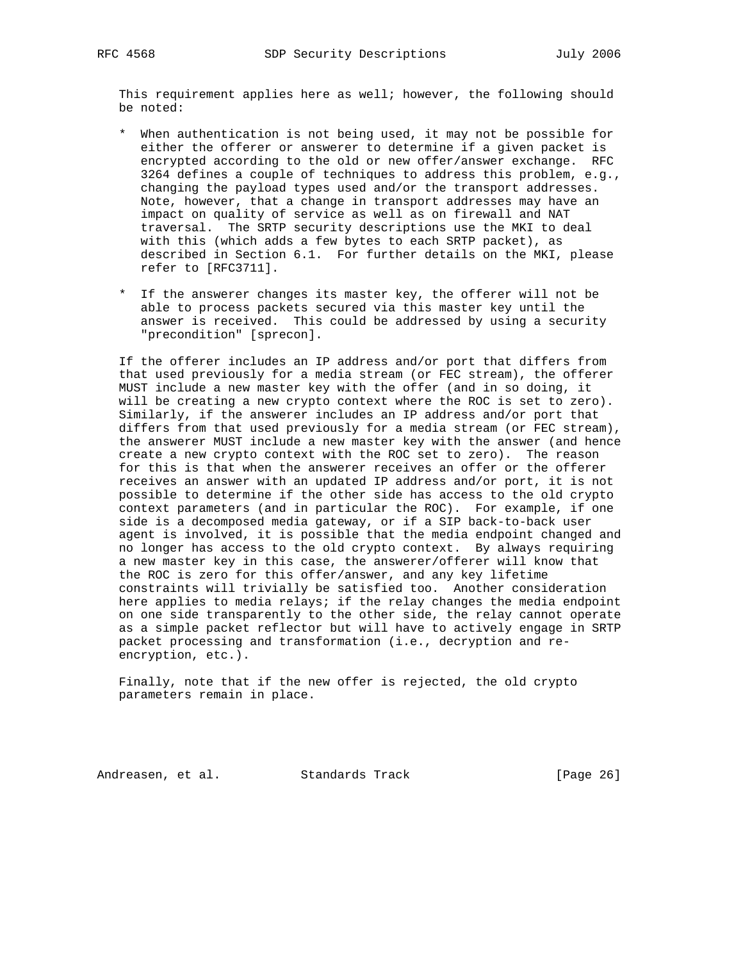This requirement applies here as well; however, the following should be noted:

- \* When authentication is not being used, it may not be possible for either the offerer or answerer to determine if a given packet is encrypted according to the old or new offer/answer exchange. RFC 3264 defines a couple of techniques to address this problem, e.g., changing the payload types used and/or the transport addresses. Note, however, that a change in transport addresses may have an impact on quality of service as well as on firewall and NAT traversal. The SRTP security descriptions use the MKI to deal with this (which adds a few bytes to each SRTP packet), as described in Section 6.1. For further details on the MKI, please refer to [RFC3711].
- \* If the answerer changes its master key, the offerer will not be able to process packets secured via this master key until the answer is received. This could be addressed by using a security "precondition" [sprecon].

 If the offerer includes an IP address and/or port that differs from that used previously for a media stream (or FEC stream), the offerer MUST include a new master key with the offer (and in so doing, it will be creating a new crypto context where the ROC is set to zero). Similarly, if the answerer includes an IP address and/or port that differs from that used previously for a media stream (or FEC stream), the answerer MUST include a new master key with the answer (and hence create a new crypto context with the ROC set to zero). The reason for this is that when the answerer receives an offer or the offerer receives an answer with an updated IP address and/or port, it is not possible to determine if the other side has access to the old crypto context parameters (and in particular the ROC). For example, if one side is a decomposed media gateway, or if a SIP back-to-back user agent is involved, it is possible that the media endpoint changed and no longer has access to the old crypto context. By always requiring a new master key in this case, the answerer/offerer will know that the ROC is zero for this offer/answer, and any key lifetime constraints will trivially be satisfied too. Another consideration here applies to media relays; if the relay changes the media endpoint on one side transparently to the other side, the relay cannot operate as a simple packet reflector but will have to actively engage in SRTP packet processing and transformation (i.e., decryption and re encryption, etc.).

 Finally, note that if the new offer is rejected, the old crypto parameters remain in place.

Andreasen, et al. Standards Track [Page 26]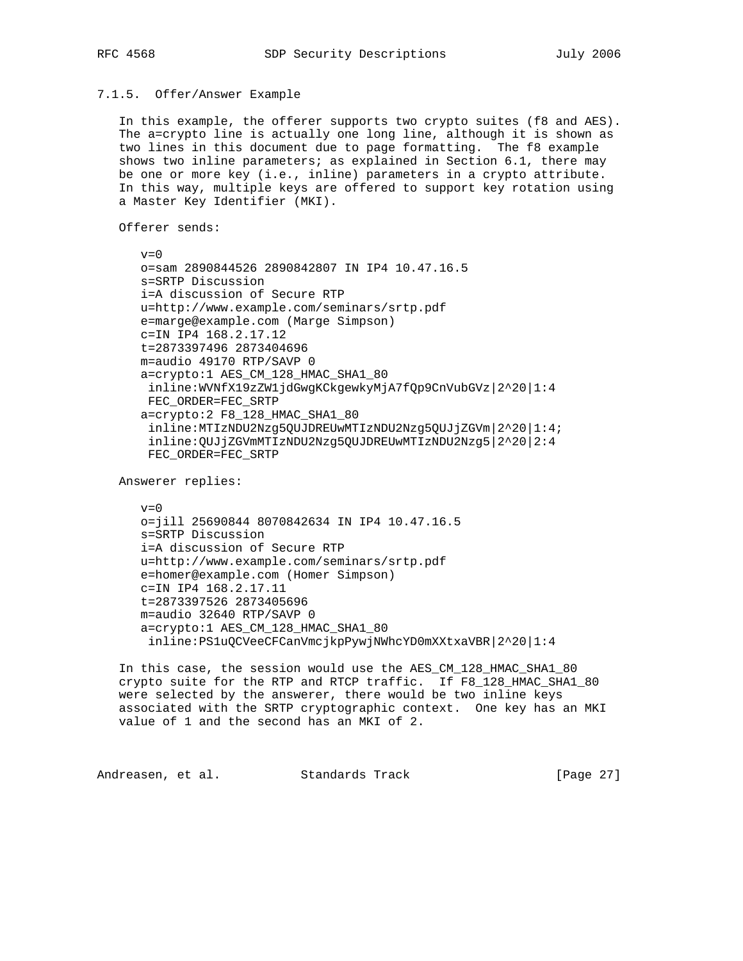#### 7.1.5. Offer/Answer Example

 In this example, the offerer supports two crypto suites (f8 and AES). The a=crypto line is actually one long line, although it is shown as two lines in this document due to page formatting. The f8 example shows two inline parameters; as explained in Section 6.1, there may be one or more key (i.e., inline) parameters in a crypto attribute. In this way, multiple keys are offered to support key rotation using a Master Key Identifier (MKI).

Offerer sends:

 $v=0$  o=sam 2890844526 2890842807 IN IP4 10.47.16.5 s=SRTP Discussion i=A discussion of Secure RTP u=http://www.example.com/seminars/srtp.pdf e=marge@example.com (Marge Simpson) c=IN IP4 168.2.17.12 t=2873397496 2873404696 m=audio 49170 RTP/SAVP 0 a=crypto:1 AES\_CM\_128\_HMAC\_SHA1\_80 inline:WVNfX19zZW1jdGwgKCkgewkyMjA7fQp9CnVubGVz|2^20|1:4 FEC\_ORDER=FEC\_SRTP a=crypto:2 F8\_128\_HMAC\_SHA1\_80 inline:MTIzNDU2Nzg5QUJDREUwMTIzNDU2Nzg5QUJjZGVm|2^20|1:4; inline:QUJjZGVmMTIzNDU2Nzg5QUJDREUwMTIzNDU2Nzg5|2^20|2:4 FEC\_ORDER=FEC\_SRTP

Answerer replies:

 $v=0$  o=jill 25690844 8070842634 IN IP4 10.47.16.5 s=SRTP Discussion i=A discussion of Secure RTP u=http://www.example.com/seminars/srtp.pdf e=homer@example.com (Homer Simpson) c=IN IP4 168.2.17.11 t=2873397526 2873405696 m=audio 32640 RTP/SAVP 0 a=crypto:1 AES\_CM\_128\_HMAC\_SHA1\_80 inline:PS1uQCVeeCFCanVmcjkpPywjNWhcYD0mXXtxaVBR|2^20|1:4

 In this case, the session would use the AES\_CM\_128\_HMAC\_SHA1\_80 crypto suite for the RTP and RTCP traffic. If F8\_128\_HMAC\_SHA1\_80 were selected by the answerer, there would be two inline keys associated with the SRTP cryptographic context. One key has an MKI value of 1 and the second has an MKI of 2.

Andreasen, et al. Standards Track (Page 27)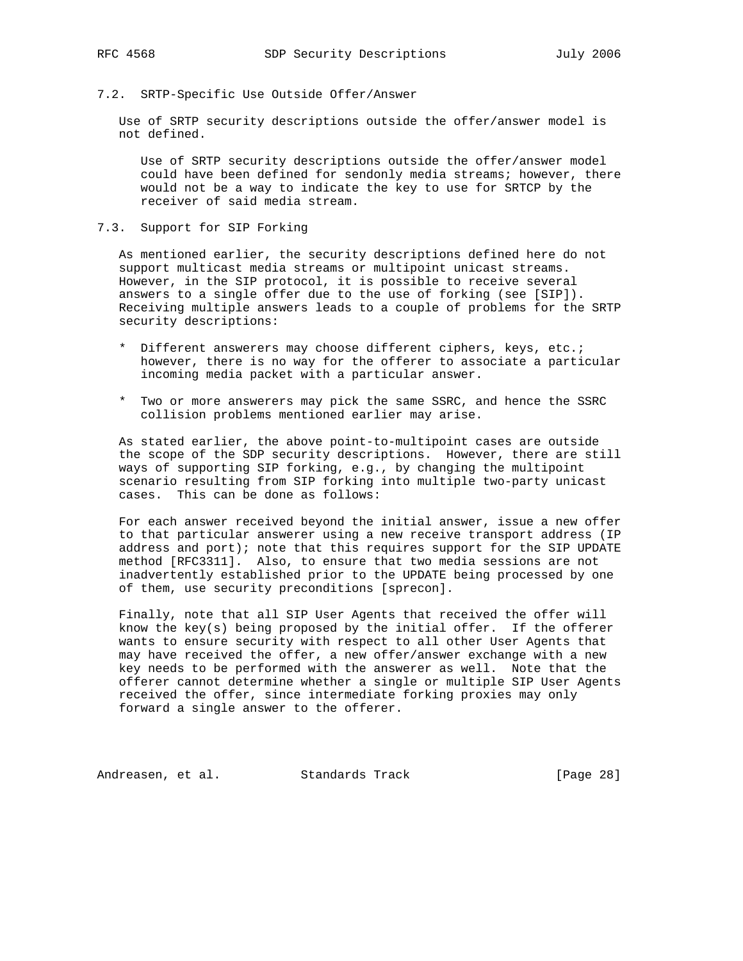## 7.2. SRTP-Specific Use Outside Offer/Answer

 Use of SRTP security descriptions outside the offer/answer model is not defined.

 Use of SRTP security descriptions outside the offer/answer model could have been defined for sendonly media streams; however, there would not be a way to indicate the key to use for SRTCP by the receiver of said media stream.

7.3. Support for SIP Forking

 As mentioned earlier, the security descriptions defined here do not support multicast media streams or multipoint unicast streams. However, in the SIP protocol, it is possible to receive several answers to a single offer due to the use of forking (see [SIP]). Receiving multiple answers leads to a couple of problems for the SRTP security descriptions:

- \* Different answerers may choose different ciphers, keys, etc.; however, there is no way for the offerer to associate a particular incoming media packet with a particular answer.
- \* Two or more answerers may pick the same SSRC, and hence the SSRC collision problems mentioned earlier may arise.

 As stated earlier, the above point-to-multipoint cases are outside the scope of the SDP security descriptions. However, there are still ways of supporting SIP forking, e.g., by changing the multipoint scenario resulting from SIP forking into multiple two-party unicast cases. This can be done as follows:

 For each answer received beyond the initial answer, issue a new offer to that particular answerer using a new receive transport address (IP address and port); note that this requires support for the SIP UPDATE method [RFC3311]. Also, to ensure that two media sessions are not inadvertently established prior to the UPDATE being processed by one of them, use security preconditions [sprecon].

 Finally, note that all SIP User Agents that received the offer will know the key(s) being proposed by the initial offer. If the offerer wants to ensure security with respect to all other User Agents that may have received the offer, a new offer/answer exchange with a new key needs to be performed with the answerer as well. Note that the offerer cannot determine whether a single or multiple SIP User Agents received the offer, since intermediate forking proxies may only forward a single answer to the offerer.

Andreasen, et al. Standards Track [Page 28]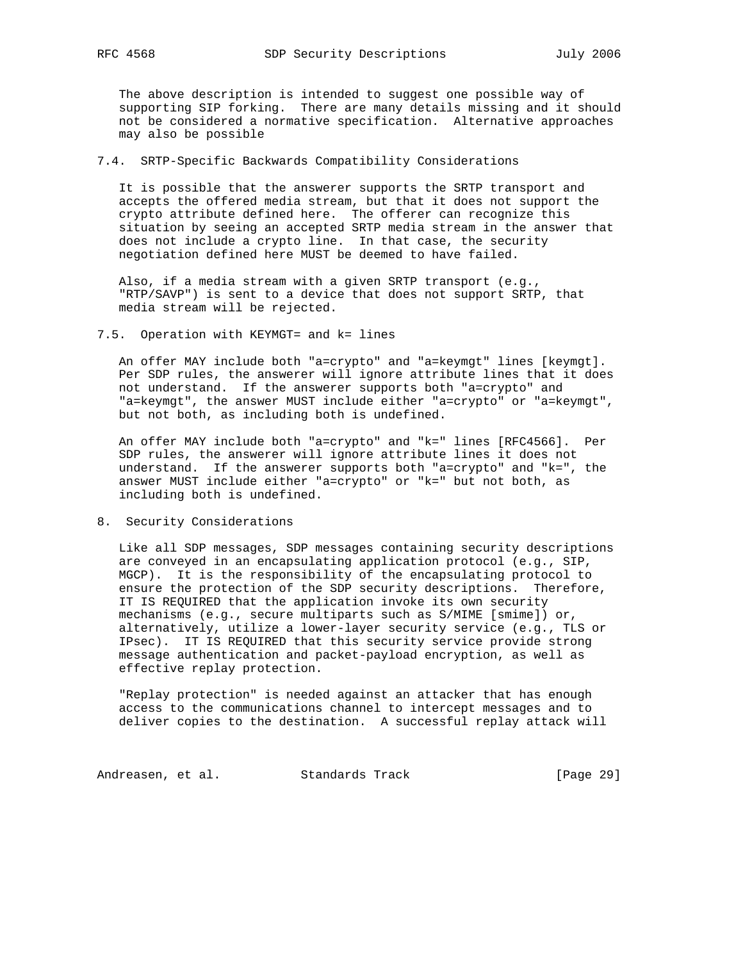The above description is intended to suggest one possible way of supporting SIP forking. There are many details missing and it should not be considered a normative specification. Alternative approaches may also be possible

#### 7.4. SRTP-Specific Backwards Compatibility Considerations

 It is possible that the answerer supports the SRTP transport and accepts the offered media stream, but that it does not support the crypto attribute defined here. The offerer can recognize this situation by seeing an accepted SRTP media stream in the answer that does not include a crypto line. In that case, the security negotiation defined here MUST be deemed to have failed.

 Also, if a media stream with a given SRTP transport (e.g., "RTP/SAVP") is sent to a device that does not support SRTP, that media stream will be rejected.

7.5. Operation with KEYMGT= and k= lines

 An offer MAY include both "a=crypto" and "a=keymgt" lines [keymgt]. Per SDP rules, the answerer will ignore attribute lines that it does not understand. If the answerer supports both "a=crypto" and "a=keymgt", the answer MUST include either "a=crypto" or "a=keymgt", but not both, as including both is undefined.

 An offer MAY include both "a=crypto" and "k=" lines [RFC4566]. Per SDP rules, the answerer will ignore attribute lines it does not understand. If the answerer supports both "a=crypto" and "k=", the answer MUST include either "a=crypto" or "k=" but not both, as including both is undefined.

8. Security Considerations

 Like all SDP messages, SDP messages containing security descriptions are conveyed in an encapsulating application protocol (e.g., SIP, MGCP). It is the responsibility of the encapsulating protocol to ensure the protection of the SDP security descriptions. Therefore, IT IS REQUIRED that the application invoke its own security mechanisms (e.g., secure multiparts such as S/MIME [smime]) or, alternatively, utilize a lower-layer security service (e.g., TLS or IPsec). IT IS REQUIRED that this security service provide strong message authentication and packet-payload encryption, as well as effective replay protection.

 "Replay protection" is needed against an attacker that has enough access to the communications channel to intercept messages and to deliver copies to the destination. A successful replay attack will

Andreasen, et al. Standards Track [Page 29]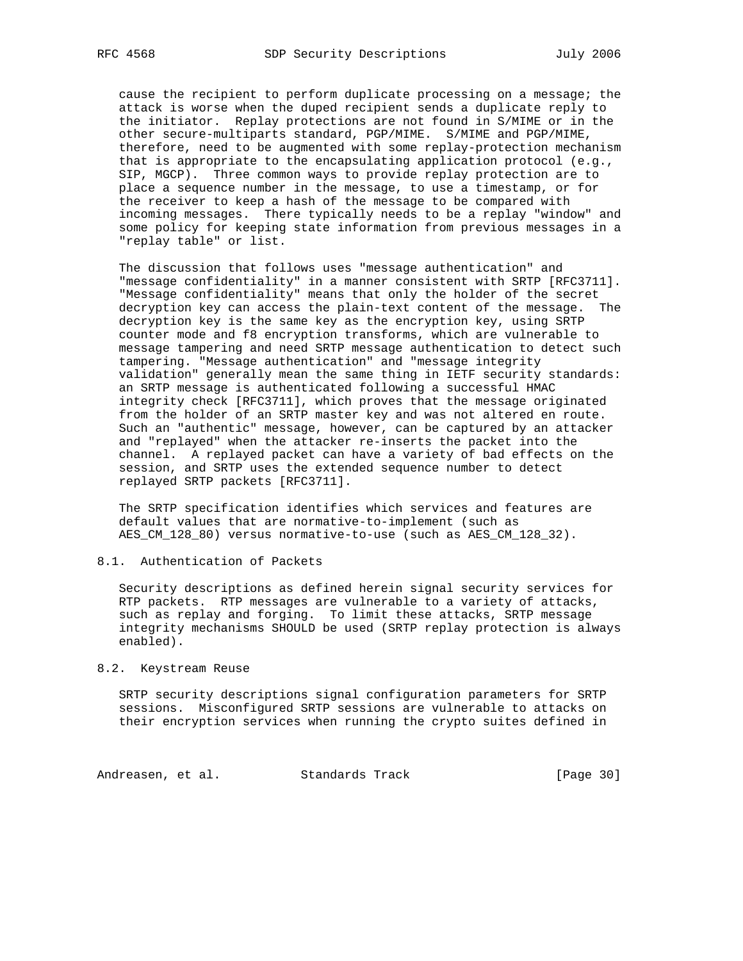cause the recipient to perform duplicate processing on a message; the attack is worse when the duped recipient sends a duplicate reply to the initiator. Replay protections are not found in S/MIME or in the other secure-multiparts standard, PGP/MIME. S/MIME and PGP/MIME, therefore, need to be augmented with some replay-protection mechanism that is appropriate to the encapsulating application protocol (e.g., SIP, MGCP). Three common ways to provide replay protection are to place a sequence number in the message, to use a timestamp, or for the receiver to keep a hash of the message to be compared with incoming messages. There typically needs to be a replay "window" and some policy for keeping state information from previous messages in a "replay table" or list.

 The discussion that follows uses "message authentication" and "message confidentiality" in a manner consistent with SRTP [RFC3711]. "Message confidentiality" means that only the holder of the secret decryption key can access the plain-text content of the message. The decryption key is the same key as the encryption key, using SRTP counter mode and f8 encryption transforms, which are vulnerable to message tampering and need SRTP message authentication to detect such tampering. "Message authentication" and "message integrity validation" generally mean the same thing in IETF security standards: an SRTP message is authenticated following a successful HMAC integrity check [RFC3711], which proves that the message originated from the holder of an SRTP master key and was not altered en route. Such an "authentic" message, however, can be captured by an attacker and "replayed" when the attacker re-inserts the packet into the channel. A replayed packet can have a variety of bad effects on the session, and SRTP uses the extended sequence number to detect replayed SRTP packets [RFC3711].

 The SRTP specification identifies which services and features are default values that are normative-to-implement (such as AES\_CM\_128\_80) versus normative-to-use (such as AES\_CM\_128\_32).

## 8.1. Authentication of Packets

 Security descriptions as defined herein signal security services for RTP packets. RTP messages are vulnerable to a variety of attacks, such as replay and forging. To limit these attacks, SRTP message integrity mechanisms SHOULD be used (SRTP replay protection is always enabled).

#### 8.2. Keystream Reuse

 SRTP security descriptions signal configuration parameters for SRTP sessions. Misconfigured SRTP sessions are vulnerable to attacks on their encryption services when running the crypto suites defined in

Andreasen, et al. Standards Track [Page 30]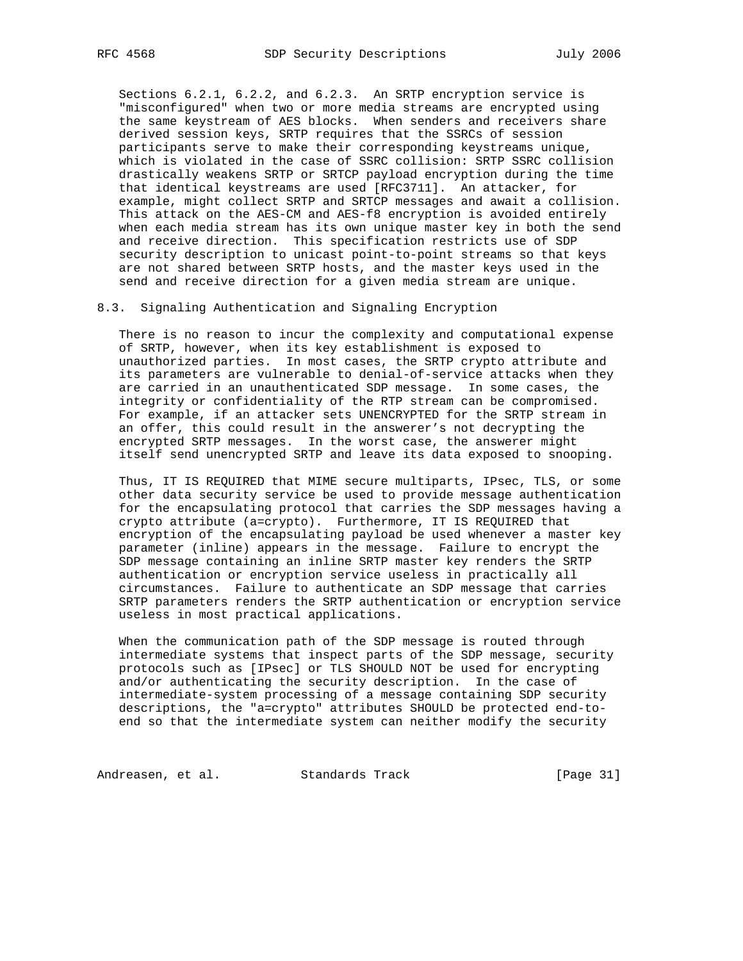Sections 6.2.1, 6.2.2, and 6.2.3. An SRTP encryption service is "misconfigured" when two or more media streams are encrypted using the same keystream of AES blocks. When senders and receivers share derived session keys, SRTP requires that the SSRCs of session participants serve to make their corresponding keystreams unique, which is violated in the case of SSRC collision: SRTP SSRC collision drastically weakens SRTP or SRTCP payload encryption during the time that identical keystreams are used [RFC3711]. An attacker, for example, might collect SRTP and SRTCP messages and await a collision. This attack on the AES-CM and AES-f8 encryption is avoided entirely when each media stream has its own unique master key in both the send and receive direction. This specification restricts use of SDP security description to unicast point-to-point streams so that keys are not shared between SRTP hosts, and the master keys used in the send and receive direction for a given media stream are unique.

8.3. Signaling Authentication and Signaling Encryption

 There is no reason to incur the complexity and computational expense of SRTP, however, when its key establishment is exposed to unauthorized parties. In most cases, the SRTP crypto attribute and its parameters are vulnerable to denial-of-service attacks when they are carried in an unauthenticated SDP message. In some cases, the integrity or confidentiality of the RTP stream can be compromised. For example, if an attacker sets UNENCRYPTED for the SRTP stream in an offer, this could result in the answerer's not decrypting the encrypted SRTP messages. In the worst case, the answerer might itself send unencrypted SRTP and leave its data exposed to snooping.

 Thus, IT IS REQUIRED that MIME secure multiparts, IPsec, TLS, or some other data security service be used to provide message authentication for the encapsulating protocol that carries the SDP messages having a crypto attribute (a=crypto). Furthermore, IT IS REQUIRED that encryption of the encapsulating payload be used whenever a master key parameter (inline) appears in the message. Failure to encrypt the SDP message containing an inline SRTP master key renders the SRTP authentication or encryption service useless in practically all circumstances. Failure to authenticate an SDP message that carries SRTP parameters renders the SRTP authentication or encryption service useless in most practical applications.

 When the communication path of the SDP message is routed through intermediate systems that inspect parts of the SDP message, security protocols such as [IPsec] or TLS SHOULD NOT be used for encrypting and/or authenticating the security description. In the case of intermediate-system processing of a message containing SDP security descriptions, the "a=crypto" attributes SHOULD be protected end-to end so that the intermediate system can neither modify the security

Andreasen, et al. Standards Track [Page 31]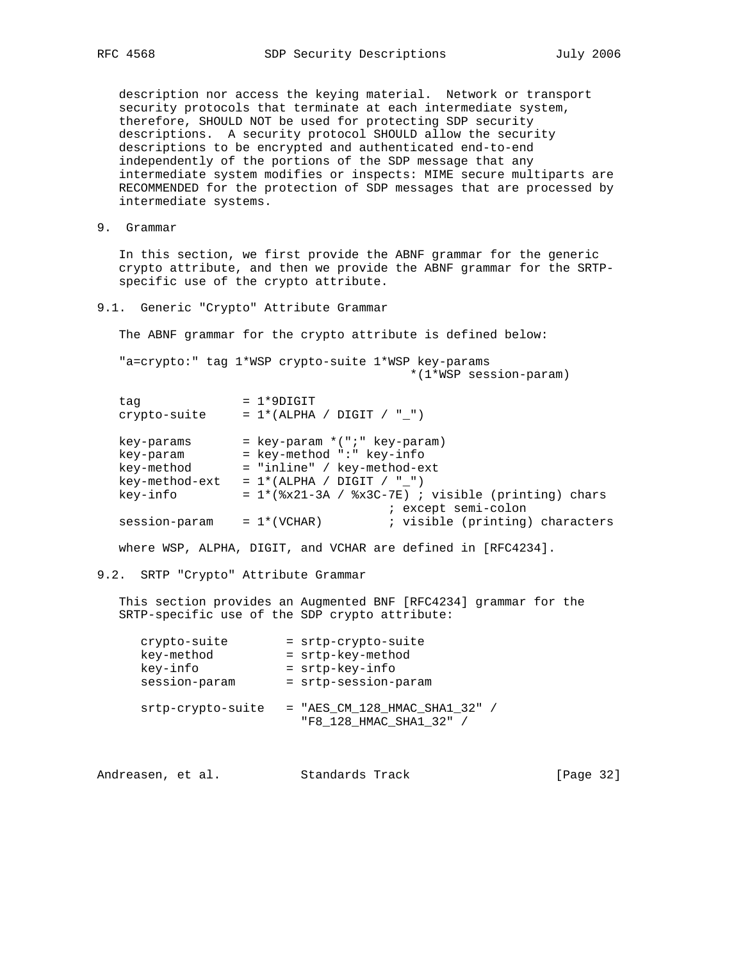description nor access the keying material. Network or transport security protocols that terminate at each intermediate system, therefore, SHOULD NOT be used for protecting SDP security descriptions. A security protocol SHOULD allow the security descriptions to be encrypted and authenticated end-to-end independently of the portions of the SDP message that any intermediate system modifies or inspects: MIME secure multiparts are RECOMMENDED for the protection of SDP messages that are processed by intermediate systems.

9. Grammar

 In this section, we first provide the ABNF grammar for the generic crypto attribute, and then we provide the ABNF grammar for the SRTP specific use of the crypto attribute.

9.1. Generic "Crypto" Attribute Grammar

The ABNF grammar for the crypto attribute is defined below:

 "a=crypto:" tag 1\*WSP crypto-suite 1\*WSP key-params \*(1\*WSP session-param)

| taq            | $= 1*9$ DIGIT                                        |
|----------------|------------------------------------------------------|
| crypto-suite   | $= 1*(ALPHA / DIGIT / "")$                           |
| key-params     | $=$ key-param $*(" : " key-param)$                   |
| key-param      | = key-method ":" key-info                            |
| key-method     | = "inline" / key-method-ext                          |
| key-method-ext | $= 1*(ALPHA / DIGIT / "")$                           |
| key-info       | $= 1*(8x21-3A / 8x3C-7E)$ ; visible (printing) chars |
|                | ; except semi-colon                                  |
| session-param  | ; visible (printing) characters<br>$= 1*(VCHAR)$     |

where WSP, ALPHA, DIGIT, and VCHAR are defined in [RFC4234].

## 9.2. SRTP "Crypto" Attribute Grammar

 This section provides an Augmented BNF [RFC4234] grammar for the SRTP-specific use of the SDP crypto attribute:

| crypto-suite      | = srtp-crypto-suite                                      |
|-------------------|----------------------------------------------------------|
| key-method        | = srtp-key-method                                        |
| key-info          | = srtp-key-info                                          |
| session-param     | = srtp-session-param                                     |
| srtp-crypto-suite | = "AES_CM_128_HMAC_SHA1_32" /<br>"F8_128_HMAC_SHA1_32" / |

| [Page 32]<br>Standards Track<br>Andreasen, et al. |  |
|---------------------------------------------------|--|
|---------------------------------------------------|--|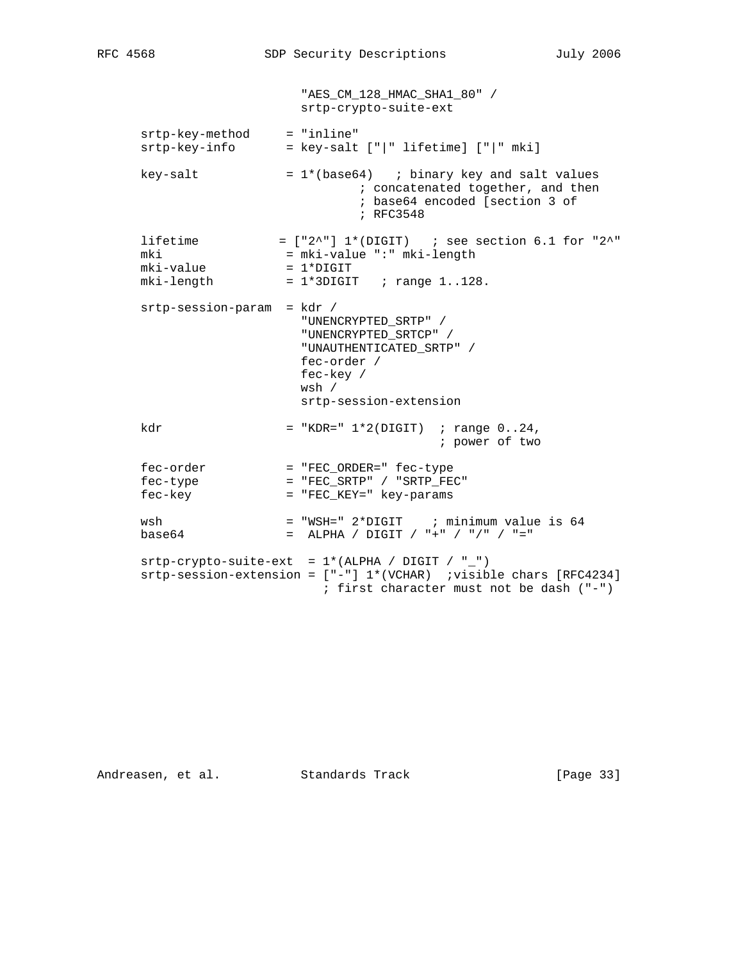"AES\_CM\_128\_HMAC\_SHA1\_80" / srtp-crypto-suite-ext srtp-key-method = "inline"  $s = key-salt$  ["|" lifetime] ["|" mki] key-salt  $= 1*(base64)$  ; binary key and salt values ; concatenated together, and then ; base64 encoded [section 3 of ; RFC3548 lifetime  $=["2^{\prime}"] 1^{\star}(\text{DJGT})$  ; see section 6.1 for "2<sup>^</sup>" mki = mki-value ":" mki-length = mki-value = 1\*DIGIT<br>mki-length = 1\*DIGIT<br>= 1\*3DIGIT =  $1*3$ DIGIT ; range  $1..128$ . srtp-session-param = kdr / "UNENCRYPTED\_SRTP" / "UNENCRYPTED\_SRTCP" / "UNAUTHENTICATED\_SRTP" / fec-order / fec-key / wsh / srtp-session-extension kdr = "KDR="  $1*2(DIGIT)$  ; range  $0..24$ , ; power of two fec-order = "FEC\_ORDER=" fec-type fec-type = "FEC\_SRTP" / "SRTP\_FEC" fec-key = "FEC\_KEY=" key-params wsh  $=$  "WSH=" 2\*DIGIT ; minimum value is  $64$ base64  $=$  ALPHA / DIGIT / "+" / "/" / "="  $strip-crypto-suite-ext = 1*(ALPHA / DIGIT / "))$  $srtp-session-extension = ['--] 1*(VCHAR)$  ;visible chars [RFC4234] ; first character must not be dash ("-")

Andreasen, et al. Standards Track [Page 33]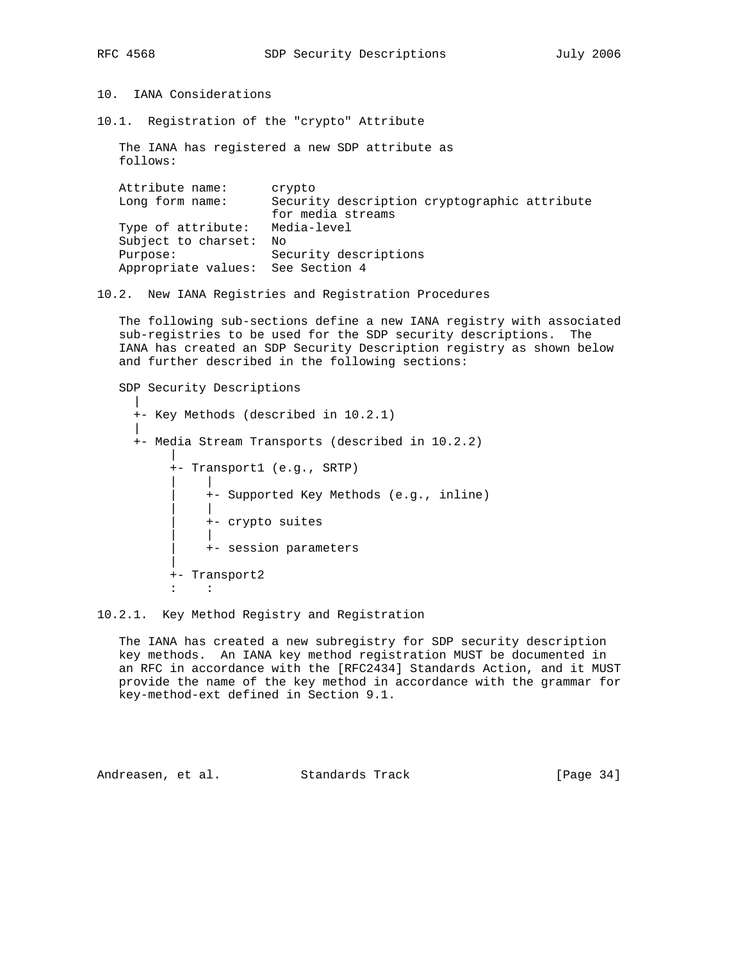- 10. IANA Considerations
- 10.1. Registration of the "crypto" Attribute

 The IANA has registered a new SDP attribute as follows:

Attribute name: crypto<br>Long form name: Securit Security description cryptographic attribute for media streams Type of attribute: Media-level Subject to charset: No Purpose: Security descriptions Appropriate values: See Section 4

10.2. New IANA Registries and Registration Procedures

 The following sub-sections define a new IANA registry with associated sub-registries to be used for the SDP security descriptions. The IANA has created an SDP Security Description registry as shown below and further described in the following sections:

```
 SDP Security Descriptions
 |
      +- Key Methods (described in 10.2.1)
 |
      +- Media Stream Transports (described in 10.2.2)
 |
           +- Transport1 (e.g., SRTP)
 | |
                | +- Supported Key Methods (e.g., inline)
 | |
               | +- crypto suites
 | |
                | +- session parameters
 |
           +- Transport2
\mathbb{R}^n : \mathbb{R}^n : \mathbb{R}^n : \mathbb{R}^n : \mathbb{R}^n : \mathbb{R}^n
```
10.2.1. Key Method Registry and Registration

 The IANA has created a new subregistry for SDP security description key methods. An IANA key method registration MUST be documented in an RFC in accordance with the [RFC2434] Standards Action, and it MUST provide the name of the key method in accordance with the grammar for key-method-ext defined in Section 9.1.

Andreasen, et al. Standards Track [Page 34]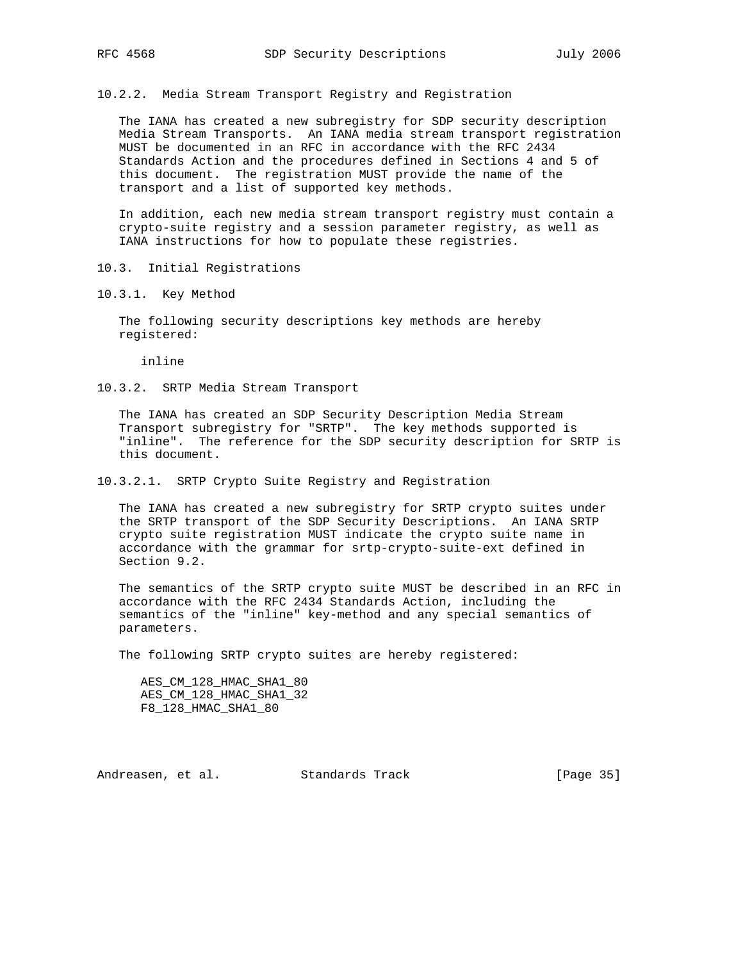10.2.2. Media Stream Transport Registry and Registration

 The IANA has created a new subregistry for SDP security description Media Stream Transports. An IANA media stream transport registration MUST be documented in an RFC in accordance with the RFC 2434 Standards Action and the procedures defined in Sections 4 and 5 of this document. The registration MUST provide the name of the transport and a list of supported key methods.

 In addition, each new media stream transport registry must contain a crypto-suite registry and a session parameter registry, as well as IANA instructions for how to populate these registries.

- 10.3. Initial Registrations
- 10.3.1. Key Method

 The following security descriptions key methods are hereby registered:

inline

10.3.2. SRTP Media Stream Transport

 The IANA has created an SDP Security Description Media Stream Transport subregistry for "SRTP". The key methods supported is "inline". The reference for the SDP security description for SRTP is this document.

10.3.2.1. SRTP Crypto Suite Registry and Registration

 The IANA has created a new subregistry for SRTP crypto suites under the SRTP transport of the SDP Security Descriptions. An IANA SRTP crypto suite registration MUST indicate the crypto suite name in accordance with the grammar for srtp-crypto-suite-ext defined in Section 9.2.

 The semantics of the SRTP crypto suite MUST be described in an RFC in accordance with the RFC 2434 Standards Action, including the semantics of the "inline" key-method and any special semantics of parameters.

The following SRTP crypto suites are hereby registered:

 AES\_CM\_128\_HMAC\_SHA1\_80 AES\_CM\_128\_HMAC\_SHA1\_32 F8\_128\_HMAC\_SHA1\_80

Andreasen, et al. Standards Track [Page 35]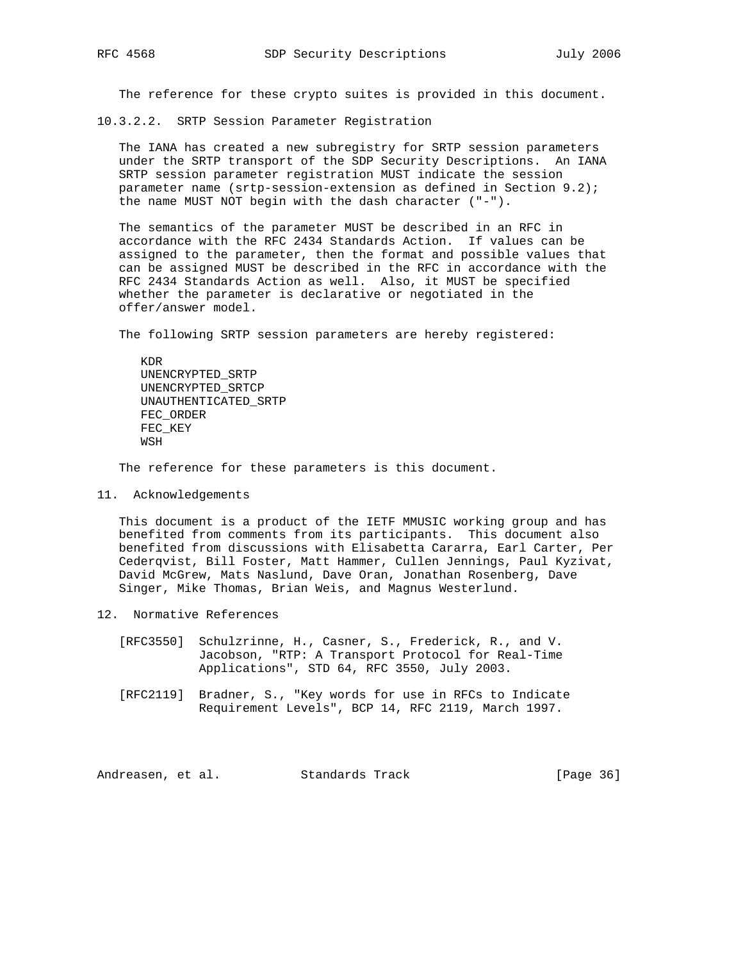The reference for these crypto suites is provided in this document.

10.3.2.2. SRTP Session Parameter Registration

 The IANA has created a new subregistry for SRTP session parameters under the SRTP transport of the SDP Security Descriptions. An IANA SRTP session parameter registration MUST indicate the session parameter name (srtp-session-extension as defined in Section 9.2); the name MUST NOT begin with the dash character ("-").

 The semantics of the parameter MUST be described in an RFC in accordance with the RFC 2434 Standards Action. If values can be assigned to the parameter, then the format and possible values that can be assigned MUST be described in the RFC in accordance with the RFC 2434 Standards Action as well. Also, it MUST be specified whether the parameter is declarative or negotiated in the offer/answer model.

The following SRTP session parameters are hereby registered:

 KDR UNENCRYPTED\_SRTP UNENCRYPTED\_SRTCP UNAUTHENTICATED\_SRTP FEC\_ORDER FEC\_KEY WSH

The reference for these parameters is this document.

11. Acknowledgements

 This document is a product of the IETF MMUSIC working group and has benefited from comments from its participants. This document also benefited from discussions with Elisabetta Cararra, Earl Carter, Per Cederqvist, Bill Foster, Matt Hammer, Cullen Jennings, Paul Kyzivat, David McGrew, Mats Naslund, Dave Oran, Jonathan Rosenberg, Dave Singer, Mike Thomas, Brian Weis, and Magnus Westerlund.

- 12. Normative References
	- [RFC3550] Schulzrinne, H., Casner, S., Frederick, R., and V. Jacobson, "RTP: A Transport Protocol for Real-Time Applications", STD 64, RFC 3550, July 2003.
	- [RFC2119] Bradner, S., "Key words for use in RFCs to Indicate Requirement Levels", BCP 14, RFC 2119, March 1997.

Andreasen, et al. Standards Track [Page 36]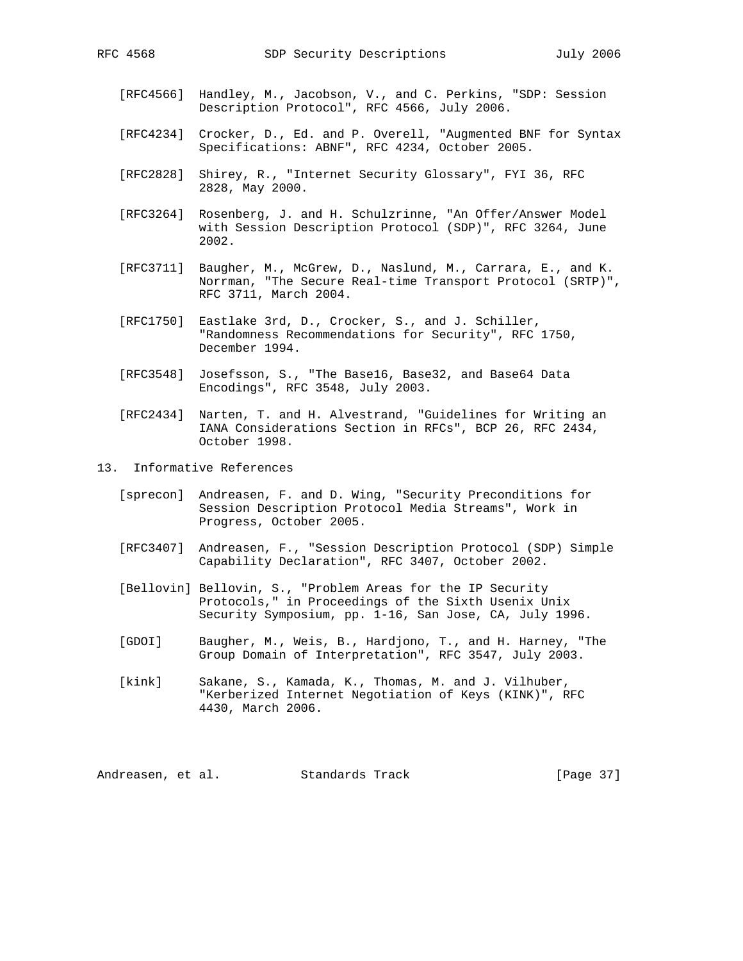- [RFC4566] Handley, M., Jacobson, V., and C. Perkins, "SDP: Session Description Protocol", RFC 4566, July 2006.
- [RFC4234] Crocker, D., Ed. and P. Overell, "Augmented BNF for Syntax Specifications: ABNF", RFC 4234, October 2005.
- [RFC2828] Shirey, R., "Internet Security Glossary", FYI 36, RFC 2828, May 2000.
- [RFC3264] Rosenberg, J. and H. Schulzrinne, "An Offer/Answer Model with Session Description Protocol (SDP)", RFC 3264, June 2002.
- [RFC3711] Baugher, M., McGrew, D., Naslund, M., Carrara, E., and K. Norrman, "The Secure Real-time Transport Protocol (SRTP)", RFC 3711, March 2004.
- [RFC1750] Eastlake 3rd, D., Crocker, S., and J. Schiller, "Randomness Recommendations for Security", RFC 1750, December 1994.
- [RFC3548] Josefsson, S., "The Base16, Base32, and Base64 Data Encodings", RFC 3548, July 2003.
- [RFC2434] Narten, T. and H. Alvestrand, "Guidelines for Writing an IANA Considerations Section in RFCs", BCP 26, RFC 2434, October 1998.
- 13. Informative References
	- [sprecon] Andreasen, F. and D. Wing, "Security Preconditions for Session Description Protocol Media Streams", Work in Progress, October 2005.
	- [RFC3407] Andreasen, F., "Session Description Protocol (SDP) Simple Capability Declaration", RFC 3407, October 2002.
	- [Bellovin] Bellovin, S., "Problem Areas for the IP Security Protocols," in Proceedings of the Sixth Usenix Unix Security Symposium, pp. 1-16, San Jose, CA, July 1996.
	- [GDOI] Baugher, M., Weis, B., Hardjono, T., and H. Harney, "The Group Domain of Interpretation", RFC 3547, July 2003.
	- [kink] Sakane, S., Kamada, K., Thomas, M. and J. Vilhuber, "Kerberized Internet Negotiation of Keys (KINK)", RFC 4430, March 2006.

Andreasen, et al. Standards Track [Page 37]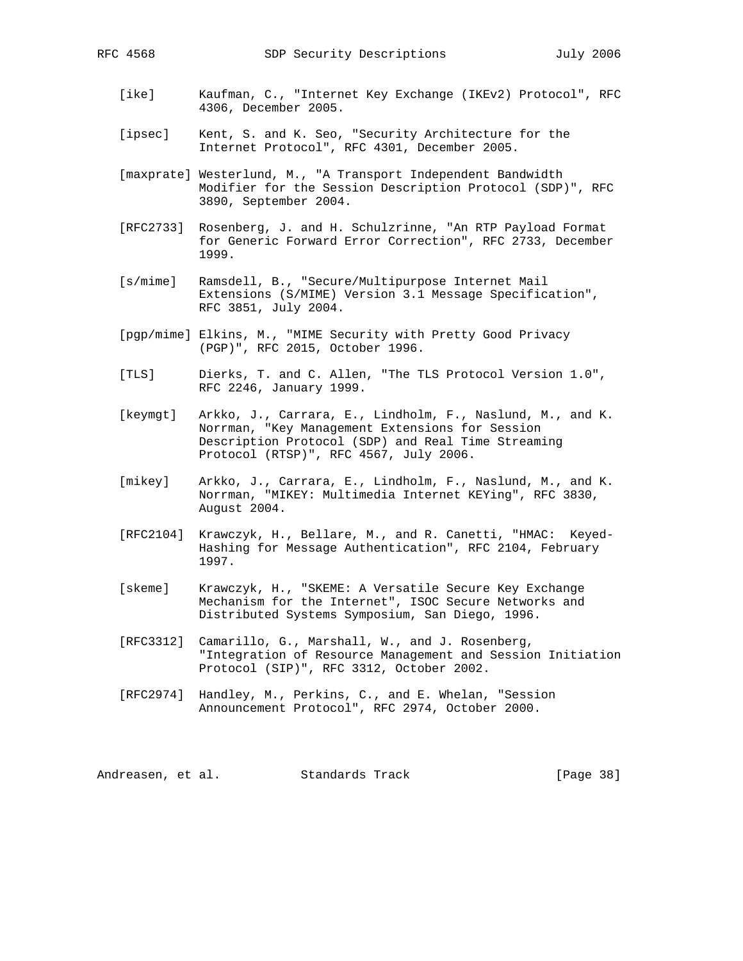- [ike] Kaufman, C., "Internet Key Exchange (IKEv2) Protocol", RFC 4306, December 2005.
- [ipsec] Kent, S. and K. Seo, "Security Architecture for the Internet Protocol", RFC 4301, December 2005.
- [maxprate] Westerlund, M., "A Transport Independent Bandwidth Modifier for the Session Description Protocol (SDP)", RFC 3890, September 2004.
- [RFC2733] Rosenberg, J. and H. Schulzrinne, "An RTP Payload Format for Generic Forward Error Correction", RFC 2733, December 1999.
- [s/mime] Ramsdell, B., "Secure/Multipurpose Internet Mail Extensions (S/MIME) Version 3.1 Message Specification", RFC 3851, July 2004.
- [pgp/mime] Elkins, M., "MIME Security with Pretty Good Privacy (PGP)", RFC 2015, October 1996.
- [TLS] Dierks, T. and C. Allen, "The TLS Protocol Version 1.0", RFC 2246, January 1999.
- [keymgt] Arkko, J., Carrara, E., Lindholm, F., Naslund, M., and K. Norrman, "Key Management Extensions for Session Description Protocol (SDP) and Real Time Streaming Protocol (RTSP)", RFC 4567, July 2006.
- [mikey] Arkko, J., Carrara, E., Lindholm, F., Naslund, M., and K. Norrman, "MIKEY: Multimedia Internet KEYing", RFC 3830, August 2004.
- [RFC2104] Krawczyk, H., Bellare, M., and R. Canetti, "HMAC: Keyed- Hashing for Message Authentication", RFC 2104, February 1997.
- [skeme] Krawczyk, H., "SKEME: A Versatile Secure Key Exchange Mechanism for the Internet", ISOC Secure Networks and Distributed Systems Symposium, San Diego, 1996.
- [RFC3312] Camarillo, G., Marshall, W., and J. Rosenberg, "Integration of Resource Management and Session Initiation Protocol (SIP)", RFC 3312, October 2002.
- [RFC2974] Handley, M., Perkins, C., and E. Whelan, "Session Announcement Protocol", RFC 2974, October 2000.

Andreasen, et al. Standards Track [Page 38]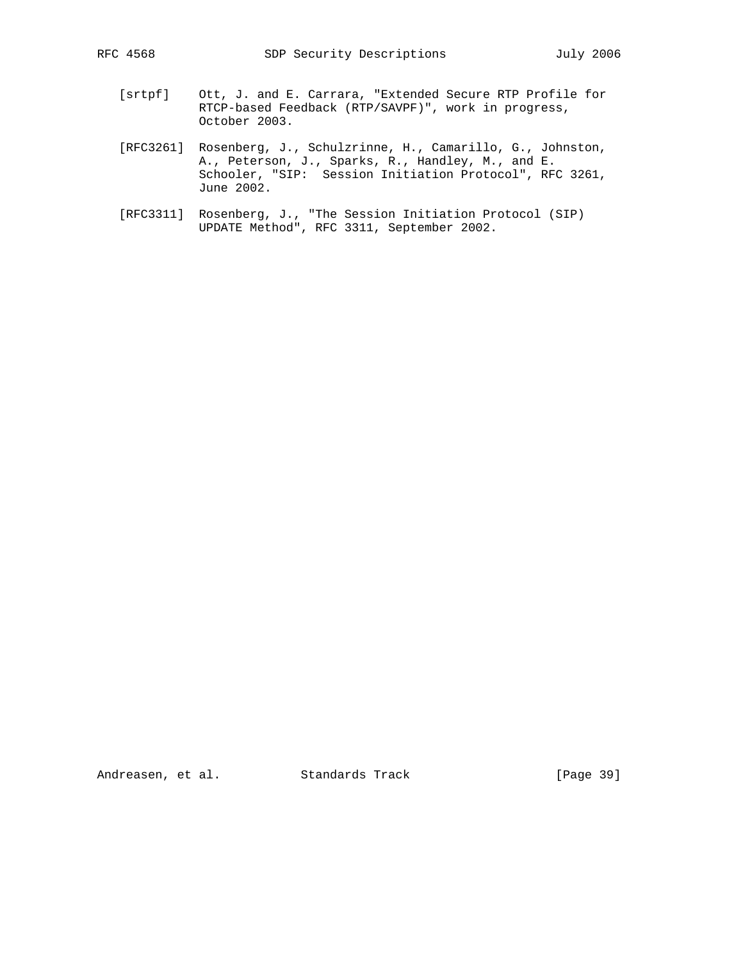- [srtpf] Ott, J. and E. Carrara, "Extended Secure RTP Profile for RTCP-based Feedback (RTP/SAVPF)", work in progress, October 2003.
- [RFC3261] Rosenberg, J., Schulzrinne, H., Camarillo, G., Johnston, A., Peterson, J., Sparks, R., Handley, M., and E. Schooler, "SIP: Session Initiation Protocol", RFC 3261, June 2002.
- [RFC3311] Rosenberg, J., "The Session Initiation Protocol (SIP) UPDATE Method", RFC 3311, September 2002.

Andreasen, et al. Standards Track [Page 39]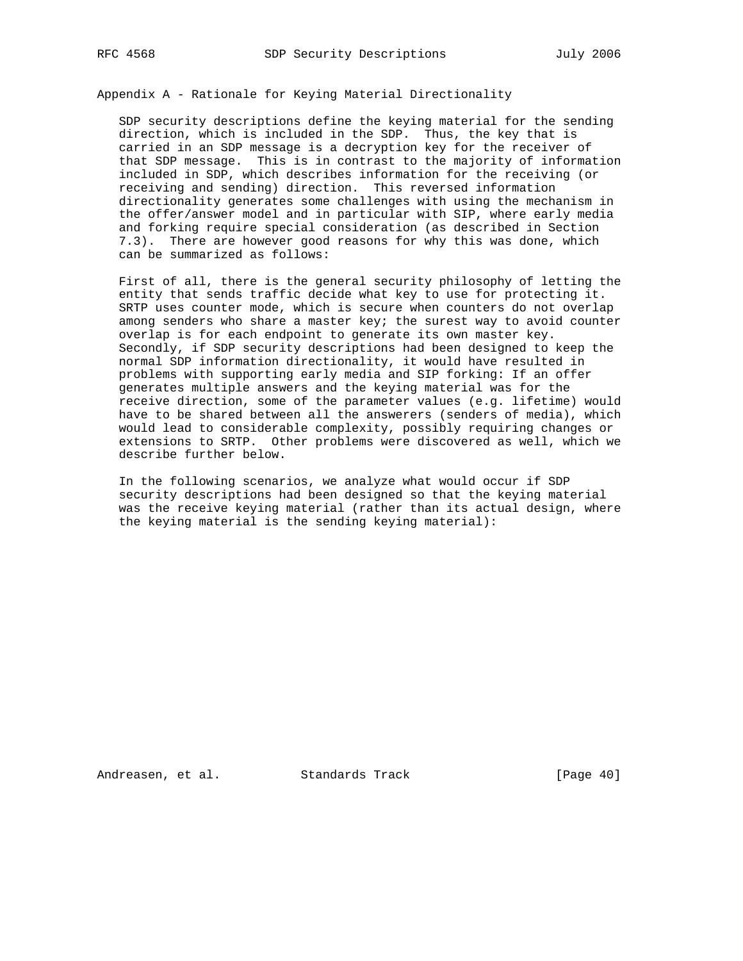Appendix A - Rationale for Keying Material Directionality

 SDP security descriptions define the keying material for the sending direction, which is included in the SDP. Thus, the key that is carried in an SDP message is a decryption key for the receiver of that SDP message. This is in contrast to the majority of information included in SDP, which describes information for the receiving (or receiving and sending) direction. This reversed information directionality generates some challenges with using the mechanism in the offer/answer model and in particular with SIP, where early media and forking require special consideration (as described in Section 7.3). There are however good reasons for why this was done, which can be summarized as follows:

 First of all, there is the general security philosophy of letting the entity that sends traffic decide what key to use for protecting it. SRTP uses counter mode, which is secure when counters do not overlap among senders who share a master key; the surest way to avoid counter overlap is for each endpoint to generate its own master key. Secondly, if SDP security descriptions had been designed to keep the normal SDP information directionality, it would have resulted in problems with supporting early media and SIP forking: If an offer generates multiple answers and the keying material was for the receive direction, some of the parameter values (e.g. lifetime) would have to be shared between all the answerers (senders of media), which would lead to considerable complexity, possibly requiring changes or extensions to SRTP. Other problems were discovered as well, which we describe further below.

 In the following scenarios, we analyze what would occur if SDP security descriptions had been designed so that the keying material was the receive keying material (rather than its actual design, where the keying material is the sending keying material):

Andreasen, et al. Standards Track [Page 40]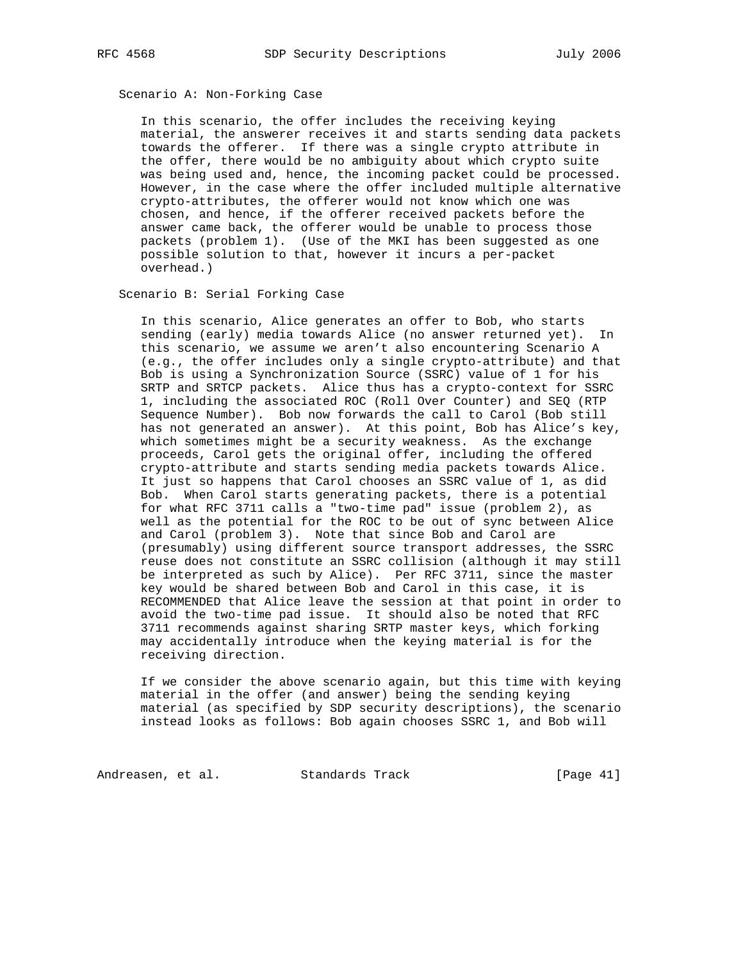## Scenario A: Non-Forking Case

 In this scenario, the offer includes the receiving keying material, the answerer receives it and starts sending data packets towards the offerer. If there was a single crypto attribute in the offer, there would be no ambiguity about which crypto suite was being used and, hence, the incoming packet could be processed. However, in the case where the offer included multiple alternative crypto-attributes, the offerer would not know which one was chosen, and hence, if the offerer received packets before the answer came back, the offerer would be unable to process those packets (problem 1). (Use of the MKI has been suggested as one possible solution to that, however it incurs a per-packet overhead.)

## Scenario B: Serial Forking Case

 In this scenario, Alice generates an offer to Bob, who starts sending (early) media towards Alice (no answer returned yet). In this scenario, we assume we aren't also encountering Scenario A (e.g., the offer includes only a single crypto-attribute) and that Bob is using a Synchronization Source (SSRC) value of 1 for his SRTP and SRTCP packets. Alice thus has a crypto-context for SSRC 1, including the associated ROC (Roll Over Counter) and SEQ (RTP Sequence Number). Bob now forwards the call to Carol (Bob still has not generated an answer). At this point, Bob has Alice's key, which sometimes might be a security weakness. As the exchange proceeds, Carol gets the original offer, including the offered crypto-attribute and starts sending media packets towards Alice. It just so happens that Carol chooses an SSRC value of 1, as did Bob. When Carol starts generating packets, there is a potential for what RFC 3711 calls a "two-time pad" issue (problem 2), as well as the potential for the ROC to be out of sync between Alice and Carol (problem 3). Note that since Bob and Carol are (presumably) using different source transport addresses, the SSRC reuse does not constitute an SSRC collision (although it may still be interpreted as such by Alice). Per RFC 3711, since the master key would be shared between Bob and Carol in this case, it is RECOMMENDED that Alice leave the session at that point in order to avoid the two-time pad issue. It should also be noted that RFC 3711 recommends against sharing SRTP master keys, which forking may accidentally introduce when the keying material is for the receiving direction.

 If we consider the above scenario again, but this time with keying material in the offer (and answer) being the sending keying material (as specified by SDP security descriptions), the scenario instead looks as follows: Bob again chooses SSRC 1, and Bob will

Andreasen, et al. Standards Track [Page 41]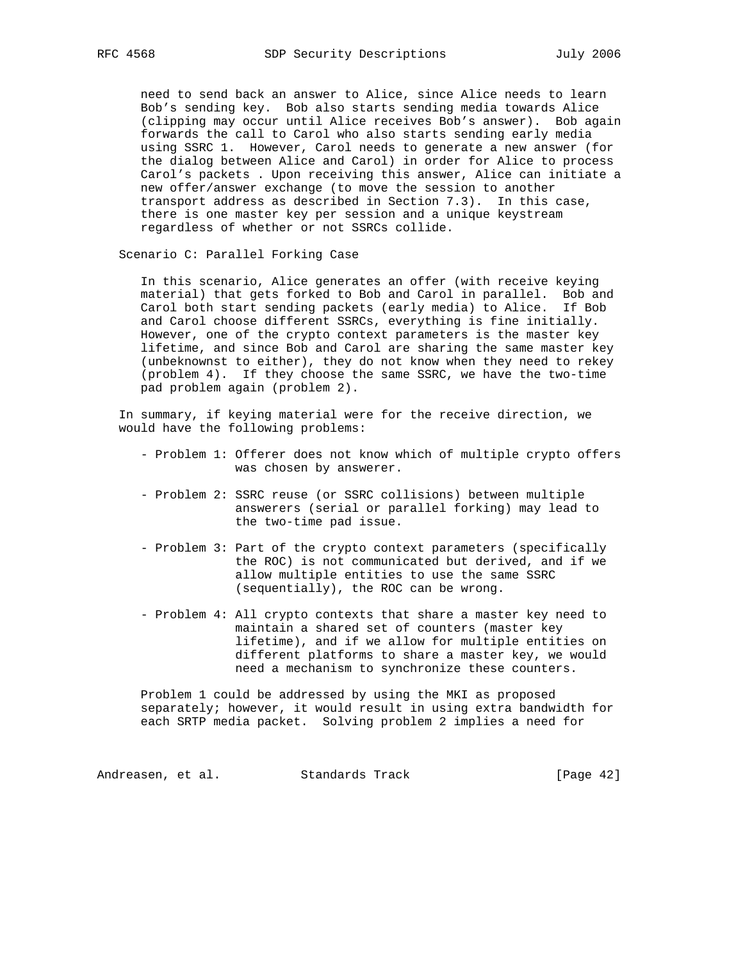need to send back an answer to Alice, since Alice needs to learn Bob's sending key. Bob also starts sending media towards Alice (clipping may occur until Alice receives Bob's answer). Bob again forwards the call to Carol who also starts sending early media using SSRC 1. However, Carol needs to generate a new answer (for the dialog between Alice and Carol) in order for Alice to process Carol's packets . Upon receiving this answer, Alice can initiate a new offer/answer exchange (to move the session to another transport address as described in Section 7.3). In this case, there is one master key per session and a unique keystream regardless of whether or not SSRCs collide.

Scenario C: Parallel Forking Case

 In this scenario, Alice generates an offer (with receive keying material) that gets forked to Bob and Carol in parallel. Bob and Carol both start sending packets (early media) to Alice. If Bob and Carol choose different SSRCs, everything is fine initially. However, one of the crypto context parameters is the master key lifetime, and since Bob and Carol are sharing the same master key (unbeknownst to either), they do not know when they need to rekey (problem 4). If they choose the same SSRC, we have the two-time pad problem again (problem 2).

 In summary, if keying material were for the receive direction, we would have the following problems:

- Problem 1: Offerer does not know which of multiple crypto offers was chosen by answerer.
- Problem 2: SSRC reuse (or SSRC collisions) between multiple answerers (serial or parallel forking) may lead to the two-time pad issue.
- Problem 3: Part of the crypto context parameters (specifically the ROC) is not communicated but derived, and if we allow multiple entities to use the same SSRC (sequentially), the ROC can be wrong.
- Problem 4: All crypto contexts that share a master key need to maintain a shared set of counters (master key lifetime), and if we allow for multiple entities on different platforms to share a master key, we would need a mechanism to synchronize these counters.

 Problem 1 could be addressed by using the MKI as proposed separately; however, it would result in using extra bandwidth for each SRTP media packet. Solving problem 2 implies a need for

Andreasen, et al. Standards Track [Page 42]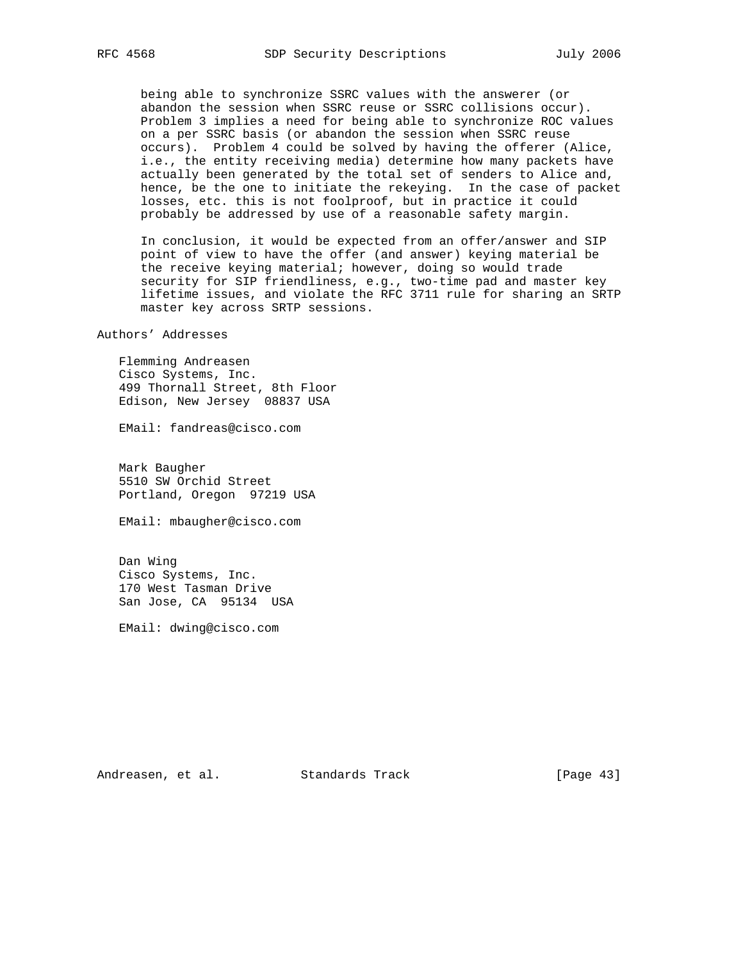being able to synchronize SSRC values with the answerer (or abandon the session when SSRC reuse or SSRC collisions occur). Problem 3 implies a need for being able to synchronize ROC values on a per SSRC basis (or abandon the session when SSRC reuse occurs). Problem 4 could be solved by having the offerer (Alice, i.e., the entity receiving media) determine how many packets have actually been generated by the total set of senders to Alice and, hence, be the one to initiate the rekeying. In the case of packet losses, etc. this is not foolproof, but in practice it could probably be addressed by use of a reasonable safety margin.

 In conclusion, it would be expected from an offer/answer and SIP point of view to have the offer (and answer) keying material be the receive keying material; however, doing so would trade security for SIP friendliness, e.g., two-time pad and master key lifetime issues, and violate the RFC 3711 rule for sharing an SRTP master key across SRTP sessions.

#### Authors' Addresses

 Flemming Andreasen Cisco Systems, Inc. 499 Thornall Street, 8th Floor Edison, New Jersey 08837 USA

EMail: fandreas@cisco.com

 Mark Baugher 5510 SW Orchid Street Portland, Oregon 97219 USA

EMail: mbaugher@cisco.com

 Dan Wing Cisco Systems, Inc. 170 West Tasman Drive San Jose, CA 95134 USA

EMail: dwing@cisco.com